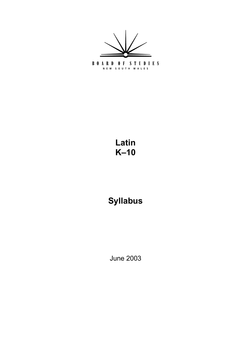

**Latin K–10** 

# **Syllabus**

June 2003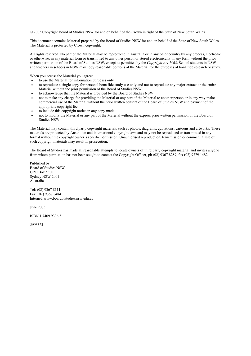© 2003 Copyright Board of Studies NSW for and on behalf of the Crown in right of the State of New South Wales.

This document contains Material prepared by the Board of Studies NSW for and on behalf of the State of New South Wales. The Material is protected by Crown copyright.

All rights reserved. No part of the Material may be reproduced in Australia or in any other country by any process, electronic or otherwise, in any material form or transmitted to any other person or stored electronically in any form without the prior written permission of the Board of Studies NSW, except as permitted by the *Copyright Act 1968*. School students in NSW and teachers in schools in NSW may copy reasonable portions of the Material for the purposes of bona fide research or study.

When you access the Material you agree:

- to use the Material for information purposes only
- to reproduce a single copy for personal bona fide study use only and not to reproduce any major extract or the entire Material without the prior permission of the Board of Studies NSW
- to acknowledge that the Material is provided by the Board of Studies NSW
- not to make any charge for providing the Material or any part of the Material to another person or in any way make commercial use of the Material without the prior written consent of the Board of Studies NSW and payment of the appropriate copyright fee
- to include this copyright notice in any copy made
- not to modify the Material or any part of the Material without the express prior written permission of the Board of Studies NSW.

The Material may contain third party copyright materials such as photos, diagrams, quotations, cartoons and artworks. These materials are protected by Australian and international copyright laws and may not be reproduced or transmitted in any format without the copyright owner's specific permission. Unauthorised reproduction, transmission or commercial use of such copyright materials may result in prosecution.

The Board of Studies has made all reasonable attempts to locate owners of third party copyright material and invites anyone from whom permission has not been sought to contact the Copyright Officer, ph (02) 9367 8289, fax (02) 9279 1482.

Published by Board of Studies NSW GPO Box 5300 Sydney NSW 2001 Australia

Tel: (02) 9367 8111 Fax: (02) 9367 8484 Internet: www.boardofstudies.nsw.edu.au

June 2003

ISBN 1 7409 9336 5

*2003373*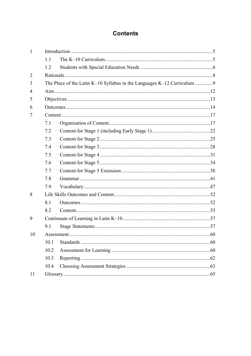## **Contents**

| $\mathbf{1}$   |      |                                                                         |  |
|----------------|------|-------------------------------------------------------------------------|--|
|                | 1.1  |                                                                         |  |
|                | 1.2  |                                                                         |  |
| $\overline{2}$ |      |                                                                         |  |
| 3              |      | The Place of the Latin K-10 Syllabus in the Languages K-12 Curriculum 9 |  |
| $\overline{4}$ |      |                                                                         |  |
| 5              |      |                                                                         |  |
| 6              |      |                                                                         |  |
| 7              |      |                                                                         |  |
|                | 7.1  |                                                                         |  |
|                | 7.2  |                                                                         |  |
|                | 7.3  |                                                                         |  |
|                | 7.4  |                                                                         |  |
|                | 7.5  |                                                                         |  |
|                | 7.6  |                                                                         |  |
|                | 7.7  |                                                                         |  |
|                | 7.8  |                                                                         |  |
|                | 7.9  |                                                                         |  |
| 8              |      |                                                                         |  |
|                | 8.1  |                                                                         |  |
|                | 8.2  |                                                                         |  |
| 9              |      |                                                                         |  |
|                | 9.1  |                                                                         |  |
| 10             |      |                                                                         |  |
|                | 10.1 |                                                                         |  |
|                | 10.2 |                                                                         |  |
|                | 10.3 |                                                                         |  |
|                | 10.4 |                                                                         |  |
| 11             |      |                                                                         |  |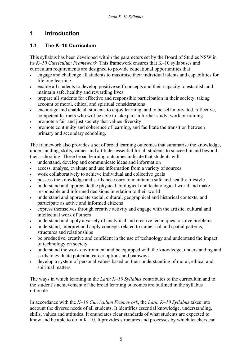## **1 Introduction**

## **1.1 The K–10 Curriculum**

This syllabus has been developed within the parameters set by the Board of Studies NSW in its *K–10 Curriculum Framework.* This framework ensures that K–10 syllabuses and curriculum requirements are designed to provide educational opportunities that:

- engage and challenge all students to maximise their individual talents and capabilities for lifelong learning
- enable all students to develop positive self-concepts and their capacity to establish and maintain safe, healthy and rewarding lives
- prepare all students for effective and responsible participation in their society, taking account of moral, ethical and spiritual considerations
- encourage and enable all students to enjoy learning, and to be self-motivated, reflective, competent learners who will be able to take part in further study, work or training
- promote a fair and just society that values diversity
- promote continuity and coherence of learning, and facilitate the transition between primary and secondary schooling.

The framework also provides a set of broad learning outcomes that summarise the knowledge, understanding, skills, values and attitudes essential for all students to succeed in and beyond their schooling. These broad learning outcomes indicate that students will:

- understand, develop and communicate ideas and information
- access, analyse, evaluate and use information from a variety of sources
- work collaboratively to achieve individual and collective goals
- possess the knowledge and skills necessary to maintain a safe and healthy lifestyle
- understand and appreciate the physical, biological and technological world and make responsible and informed decisions in relation to their world
- understand and appreciate social, cultural, geographical and historical contexts, and participate as active and informed citizens
- express themselves through creative activity and engage with the artistic, cultural and intellectual work of others
- understand and apply a variety of analytical and creative techniques to solve problems
- understand, interpret and apply concepts related to numerical and spatial patterns, structures and relationships
- be productive, creative and confident in the use of technology and understand the impact of technology on society
- understand the work environment and be equipped with the knowledge, understanding and skills to evaluate potential career options and pathways
- develop a system of personal values based on their understanding of moral, ethical and spiritual matters.

The ways in which learning in the *Latin K–10 Syllabus* contributes to the curriculum and to the student's achievement of the broad learning outcomes are outlined in the syllabus rationale.

In accordance with the *K–10 Curriculum Framework*, the *Latin K–10 Syllabus* takes into account the diverse needs of all students. It identifies essential knowledge, understanding, skills, values and attitudes. It enunciates clear standards of what students are expected to know and be able to do in K–10. It provides structures and processes by which teachers can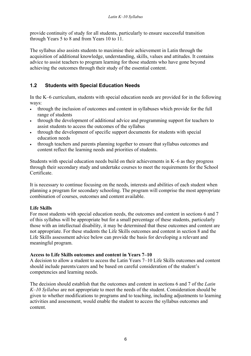provide continuity of study for all students, particularly to ensure successful transition through Years 5 to 8 and from Years 10 to 11.

The syllabus also assists students to maximise their achievement in Latin through the acquisition of additional knowledge, understanding, skills, values and attitudes. It contains advice to assist teachers to program learning for those students who have gone beyond achieving the outcomes through their study of the essential content.

## **1.2 Students with Special Education Needs**

In the K–6 curriculum, students with special education needs are provided for in the following ways:

- through the inclusion of outcomes and content in syllabuses which provide for the full range of students
- through the development of additional advice and programming support for teachers to assist students to access the outcomes of the syllabus
- through the development of specific support documents for students with special education needs
- through teachers and parents planning together to ensure that syllabus outcomes and content reflect the learning needs and priorities of students.

Students with special education needs build on their achievements in K–6 as they progress through their secondary study and undertake courses to meet the requirements for the School Certificate.

It is necessary to continue focusing on the needs, interests and abilities of each student when planning a program for secondary schooling. The program will comprise the most appropriate combination of courses, outcomes and content available.

### **Life Skills**

For most students with special education needs, the outcomes and content in sections 6 and 7 of this syllabus will be appropriate but for a small percentage of these students, particularly those with an intellectual disability, it may be determined that these outcomes and content are not appropriate. For these students the Life Skills outcomes and content in section 8 and the Life Skills assessment advice below can provide the basis for developing a relevant and meaningful program.

#### **Access to Life Skills outcomes and content in Years 7–10**

A decision to allow a student to access the Latin Years 7–10 Life Skills outcomes and content should include parents/carers and be based on careful consideration of the student's competencies and learning needs.

The decision should establish that the outcomes and content in sections 6 and 7 of the *Latin K–10 Syllabus* are not appropriate to meet the needs of the student. Consideration should be given to whether modifications to programs and to teaching, including adjustments to learning activities and assessment, would enable the student to access the syllabus outcomes and content.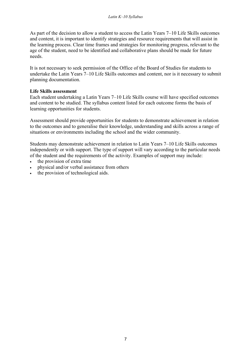As part of the decision to allow a student to access the Latin Years 7–10 Life Skills outcomes and content, it is important to identify strategies and resource requirements that will assist in the learning process. Clear time frames and strategies for monitoring progress, relevant to the age of the student, need to be identified and collaborative plans should be made for future needs.

It is not necessary to seek permission of the Office of the Board of Studies for students to undertake the Latin Years 7–10 Life Skills outcomes and content, nor is it necessary to submit planning documentation.

#### **Life Skills assessment**

Each student undertaking a Latin Years 7–10 Life Skills course will have specified outcomes and content to be studied. The syllabus content listed for each outcome forms the basis of learning opportunities for students.

Assessment should provide opportunities for students to demonstrate achievement in relation to the outcomes and to generalise their knowledge, understanding and skills across a range of situations or environments including the school and the wider community.

Students may demonstrate achievement in relation to Latin Years 7–10 Life Skills outcomes independently or with support. The type of support will vary according to the particular needs of the student and the requirements of the activity. Examples of support may include:

- the provision of extra time
- physical and/or verbal assistance from others
- the provision of technological aids.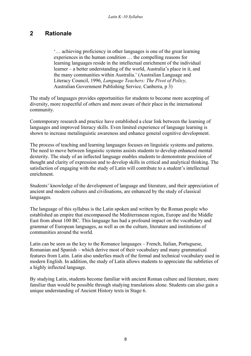## **2 Rationale**

'… achieving proficiency in other languages is one of the great learning experiences in the human condition … the compelling reasons for learning languages reside in the intellectual enrichment of the individual learner – a better understanding of the world, Australia's place in it, and the many communities within Australia.' (Australian Language and Literacy Council, 1996, *Language Teachers: The Pivot of Policy,*  Australian Government Publishing Service*,* Canberra, p 3)

The study of languages provides opportunities for students to become more accepting of diversity, more respectful of others and more aware of their place in the international community.

Contemporary research and practice have established a clear link between the learning of languages and improved literacy skills. Even limited experience of language learning is shown to increase metalinguistic awareness and enhance general cognitive development.

The process of teaching and learning languages focuses on linguistic systems and patterns. The need to move between linguistic systems assists students to develop enhanced mental dexterity. The study of an inflected language enables students to demonstrate precision of thought and clarity of expression and to develop skills in critical and analytical thinking. The satisfaction of engaging with the study of Latin will contribute to a student's intellectual enrichment.

Students' knowledge of the development of language and literature, and their appreciation of ancient and modern cultures and civilisations, are enhanced by the study of classical languages.

The language of this syllabus is the Latin spoken and written by the Roman people who established an empire that encompassed the Mediterranean region, Europe and the Middle East from about 100 BC. This language has had a profound impact on the vocabulary and grammar of European languages, as well as on the culture, literature and institutions of communities around the world.

Latin can be seen as the key to the Romance languages – French, Italian, Portuguese, Romanian and Spanish – which derive most of their vocabulary and many grammatical features from Latin. Latin also underlies much of the formal and technical vocabulary used in modern English. In addition, the study of Latin allows students to appreciate the subtleties of a highly inflected language.

By studying Latin, students become familiar with ancient Roman culture and literature, more familiar than would be possible through studying translations alone. Students can also gain a unique understanding of Ancient History texts in Stage 6.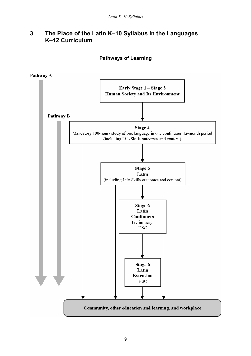## **3 The Place of the Latin K–10 Syllabus in the Languages K–12 Curriculum**

#### **Pathways of Learning**

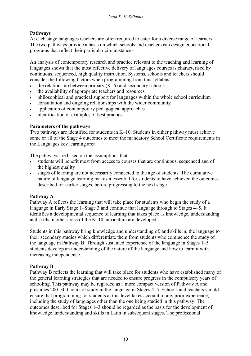### **Pathways**

At each stage languages teachers are often required to cater for a diverse range of learners. The two pathways provide a basis on which schools and teachers can design educational programs that reflect their particular circumstances.

An analysis of contemporary research and practice relevant to the teaching and learning of languages shows that the most effective delivery of languages courses is characterised by continuous, sequenced, high quality instruction. Systems, schools and teachers should consider the following factors when programming from this syllabus:

- the relationship between primary  $(K-6)$  and secondary schools
- the availability of appropriate teachers and resources
- philosophical and practical support for languages within the whole school curriculum
- consultation and ongoing relationships with the wider community
- application of contemporary pedagogical approaches
- identification of examples of best practice.

#### **Parameters of the pathways**

Two pathways are identified for students in K–10. Students in either pathway must achieve some or all of the Stage 4 outcomes to meet the mandatory School Certificate requirements in the Languages key learning area.

The pathways are based on the assumptions that:

- students will benefit most from access to courses that are continuous, sequenced and of the highest quality
- stages of learning are not necessarily connected to the age of students. The cumulative nature of language learning makes it essential for students to have achieved the outcomes described for earlier stages, before progressing to the next stage.

#### **Pathway A**

Pathway A reflects the learning that will take place for students who begin the study of a language in Early Stage 1–Stage 3 and continue that language through to Stages 4–5. It identifies a developmental sequence of learning that takes place as knowledge, understanding and skills in other areas of the K–10 curriculum are developed.

Students in this pathway bring knowledge and understanding of, and skills in, the language to their secondary studies which differentiate them from students who commence the study of the language in Pathway B. Through sustained experience of the language in Stages  $1-\overline{5}$ students develop an understanding of the nature of the language and how to learn it with increasing independence.

### **Pathway B**

Pathway B reflects the learning that will take place for students who have established many of the general learning strategies that are needed to ensure progress in the compulsory years of schooling. This pathway may be regarded as a more compact version of Pathway A and presumes 200–300 hours of study in the language in Stages 4–5. Schools and teachers should ensure that programming for students at this level takes account of any prior experience, including the study of languages other than the one being studied in this pathway. The outcomes described for Stages 1–3 should be regarded as the basis for the development of knowledge, understanding and skills in Latin in subsequent stages. The professional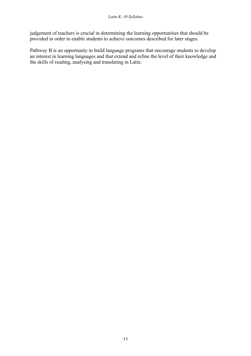judgement of teachers is crucial in determining the learning opportunities that should be provided in order to enable students to achieve outcomes described for later stages.

Pathway B is an opportunity to build language programs that encourage students to develop an interest in learning languages and that extend and refine the level of their knowledge and the skills of reading, analysing and translating in Latin.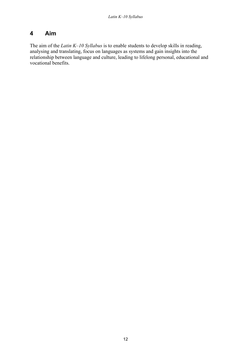## **4 Aim**

The aim of the *Latin K–10 Syllabus* is to enable students to develop skills in reading, analysing and translating, focus on languages as systems and gain insights into the relationship between language and culture, leading to lifelong personal, educational and vocational benefits.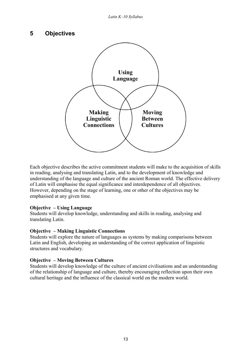## **5 Objectives**



Each objective describes the active commitment students will make to the acquisition of skills in reading, analysing and translating Latin, and to the development of knowledge and understanding of the language and culture of the ancient Roman world. The effective delivery of Latin will emphasise the equal significance and interdependence of all objectives. However, depending on the stage of learning, one or other of the objectives may be emphasised at any given time.

#### **Objective – Using Language**

Students will develop knowledge, understanding and skills in reading, analysing and translating Latin.

### **Objective – Making Linguistic Connections**

Students will explore the nature of languages as systems by making comparisons between Latin and English, developing an understanding of the correct application of linguistic structures and vocabulary.

### **Objective – Moving Between Cultures**

Students will develop knowledge of the culture of ancient civilisations and an understanding of the relationship of language and culture, thereby encouraging reflection upon their own cultural heritage and the influence of the classical world on the modern world.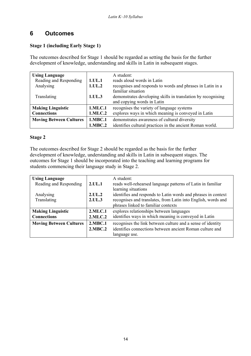## **6 Outcomes**

#### **Stage 1 (including Early Stage 1)**

The outcomes described for Stage 1 should be regarded as setting the basis for the further development of knowledge, understanding and skills in Latin in subsequent stages.

| <b>Using Language</b>          |         | A student:                                                   |  |  |
|--------------------------------|---------|--------------------------------------------------------------|--|--|
| Reading and Responding         | 1.UL.1  | reads aloud words in Latin                                   |  |  |
| Analysing                      | 1.UL.2  | recognises and responds to words and phrases in Latin in a   |  |  |
|                                |         | familiar situation                                           |  |  |
| Translating                    | 1.UL.3  | demonstrates developing skills in translation by recognising |  |  |
|                                |         | and copying words in Latin                                   |  |  |
| <b>Making Linguistic</b>       | 1.MLC.1 | recognises the variety of language systems                   |  |  |
| <b>Connections</b>             | 1.MLC.2 | explores ways in which meaning is conveyed in Latin          |  |  |
| <b>Moving Between Cultures</b> | 1.MBC.1 | demonstrates awareness of cultural diversity                 |  |  |
|                                | 1.MBC.2 | identifies cultural practices in the ancient Roman world.    |  |  |

#### **Stage 2**

The outcomes described for Stage 2 should be regarded as the basis for the further development of knowledge, understanding and skills in Latin in subsequent stages. The outcomes for Stage 1 should be incorporated into the teaching and learning programs for students commencing their language study in Stage 2.

| <b>Using Language</b>          |         | A student:                                                                         |  |  |
|--------------------------------|---------|------------------------------------------------------------------------------------|--|--|
| Reading and Responding         | 2.UL.1  | reads well-rehearsed language patterns of Latin in familiar<br>learning situations |  |  |
| Analysing                      | 2.UL.2  | identifies and responds to Latin words and phrases in context                      |  |  |
| Translating                    | 2.UL.3  | recognises and translates, from Latin into English, words and                      |  |  |
|                                |         | phrases linked to familiar contexts                                                |  |  |
| <b>Making Linguistic</b>       | 2.MLC.1 | explores relationships between languages                                           |  |  |
| <b>Connections</b>             | 2.MLC.2 | identifies ways in which meaning is conveyed in Latin                              |  |  |
| <b>Moving Between Cultures</b> | 2.MBC.1 | recognises the link between culture and a sense of identity                        |  |  |
|                                | 2.MBC.2 | identifies connections between ancient Roman culture and                           |  |  |
|                                |         | language use.                                                                      |  |  |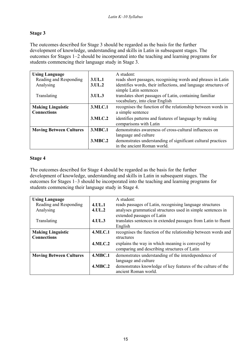### **Stage 3**

The outcomes described for Stage 3 should be regarded as the basis for the further development of knowledge, understanding and skills in Latin in subsequent stages. The outcomes for Stages 1–2 should be incorporated into the teaching and learning programs for students commencing their language study in Stage 3.

| <b>Using Language</b>          |         | A student:                                                      |
|--------------------------------|---------|-----------------------------------------------------------------|
| Reading and Responding         | 3.UL.1  | reads short passages, recognising words and phrases in Latin    |
| Analysing                      | 3.UL.2  | identifies words, their inflections, and language structures of |
|                                |         | simple Latin sentences                                          |
| Translating                    | 3.UL.3  | translates short passages of Latin, containing familiar         |
|                                |         | vocabulary, into clear English                                  |
| <b>Making Linguistic</b>       | 3.MLC.1 | recognises the function of the relationship between words in    |
| <b>Connections</b>             |         | a simple sentence                                               |
|                                | 3.MLC.2 | identifies patterns and features of language by making          |
|                                |         | comparisons with Latin                                          |
| <b>Moving Between Cultures</b> | 3.MBC.1 | demonstrates awareness of cross-cultural influences on          |
|                                |         | language and culture                                            |
|                                | 3.MBC.2 | demonstrates understanding of significant cultural practices    |
|                                |         | in the ancient Roman world.                                     |

#### **Stage 4**

The outcomes described for Stage 4 should be regarded as the basis for the further development of knowledge, understanding and skills in Latin in subsequent stages. The outcomes for Stages 1–3 should be incorporated into the teaching and learning programs for students commencing their language study in Stage 4.

| <b>Using Language</b>          |                | A student:                                                     |  |
|--------------------------------|----------------|----------------------------------------------------------------|--|
| Reading and Responding         | 4.UL.1         | reads passages of Latin, recognising language structures       |  |
| Analysing                      | 4.UL.2         | analyses grammatical structures used in simple sentences in    |  |
|                                |                | extended passages of Latin                                     |  |
| Translating                    | 4.UL.3         | translates sentences in extended passages from Latin to fluent |  |
|                                |                | English                                                        |  |
| <b>Making Linguistic</b>       | <b>4.MLC.1</b> | recognises the function of the relationship between words and  |  |
| <b>Connections</b>             |                | structures                                                     |  |
|                                | <b>4.MLC.2</b> | explains the way in which meaning is conveyed by               |  |
|                                |                | comparing and describing structures of Latin                   |  |
| <b>Moving Between Cultures</b> | <b>4.MBC.1</b> | demonstrates understanding of the interdependence of           |  |
|                                |                | language and culture                                           |  |
|                                | <b>4.MBC.2</b> | demonstrates knowledge of key features of the culture of the   |  |
|                                |                | ancient Roman world.                                           |  |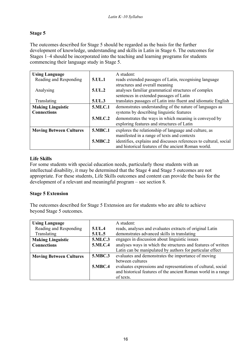### **Stage 5**

The outcomes described for Stage 5 should be regarded as the basis for the further development of knowledge, understanding and skills in Latin in Stage 6. The outcomes for Stages 1–4 should be incorporated into the teaching and learning programs for students commencing their language study in Stage 5.

| <b>Using Language</b>          |                | A student:                                                        |  |
|--------------------------------|----------------|-------------------------------------------------------------------|--|
| Reading and Responding         | 5.UL.1         | reads extended passages of Latin, recognising language            |  |
|                                |                | structures and overall meaning                                    |  |
| Analysing                      | 5.01.2         | analyses familiar grammatical structures of complex               |  |
|                                |                | sentences in extended passages of Latin                           |  |
| Translating                    | 5.UL.3         | translates passages of Latin into fluent and idiomatic English    |  |
| <b>Making Linguistic</b>       | 5.MLC.1        | demonstrates understanding of the nature of languages as          |  |
| <b>Connections</b>             |                | systems by describing linguistic features                         |  |
|                                | <b>5.MLC.2</b> | demonstrates the ways in which meaning is conveyed by             |  |
|                                |                | exploring features and structures of Latin                        |  |
| <b>Moving Between Cultures</b> | 5.MBC.1        | explores the relationship of language and culture, as             |  |
|                                |                | manifested in a range of texts and contexts                       |  |
|                                | 5.MBC.2        | identifies, explains and discusses references to cultural, social |  |
|                                |                | and historical features of the ancient Roman world.               |  |

#### **Life Skills**

For some students with special education needs, particularly those students with an intellectual disability, it may be determined that the Stage 4 and Stage 5 outcomes are not appropriate. For these students, Life Skills outcomes and content can provide the basis for the development of a relevant and meaningful program – see section 8.

#### **Stage 5 Extension**

The outcomes described for Stage 5 Extension are for students who are able to achieve beyond Stage 5 outcomes.

| <b>Using Language</b>          |         | A student:                                                    |  |
|--------------------------------|---------|---------------------------------------------------------------|--|
| Reading and Responding         | 5.UL.4  | reads, analyses and evaluates extracts of original Latin      |  |
| Translating                    | 5.UL.5  | demonstrates advanced skills in translating                   |  |
| <b>Making Linguistic</b>       | 5.MLC.3 | engages in discussion about linguistic issues                 |  |
| <b>Connections</b>             | 5.MLC.4 | analyses ways in which the structures and features of written |  |
|                                |         | Latin can be manipulated by authors for particular effect     |  |
| <b>Moving Between Cultures</b> | 5.MBC.3 | evaluates and demonstrates the importance of moving           |  |
|                                |         | between cultures                                              |  |
|                                | 5.MBC.4 | evaluates expressions and representations of cultural, social |  |
|                                |         | and historical features of the ancient Roman world in a range |  |
|                                |         | of texts.                                                     |  |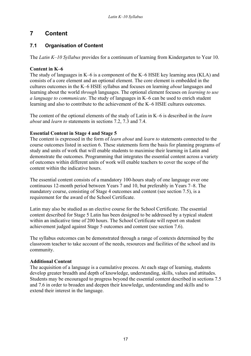## **7 Content**

## **7.1 Organisation of Content**

The *Latin K–10 Syllabus* provides for a continuum of learning from Kindergarten to Year 10.

### **Content in K–6**

The study of languages in K–6 is a component of the K–6 HSIE key learning area (KLA) and consists of a core element and an optional element. The core element is embedded in the cultures outcomes in the K–6 HSIE syllabus and focuses on learning *about* languages and learning about the world *through* languages. The optional element focuses on *learning to use a language to communicate*. The study of languages in K–6 can be used to enrich student learning and also to contribute to the achievement of the K–6 HSIE cultures outcomes.

The content of the optional elements of the study of Latin in K–6 is described in the *learn about* and *learn to* statements in sections 7.2, 7.3 and 7.4.

### **Essential Content in Stage 4 and Stage 5**

The content is expressed in the form of *learn about* and *learn to* statements connected to the course outcomes listed in section 6. These statements form the basis for planning programs of study and units of work that will enable students to maximise their learning in Latin and demonstrate the outcomes. Programming that integrates the essential content across a variety of outcomes within different units of work will enable teachers to cover the scope of the content within the indicative hours.

The essential content consists of a mandatory 100-hours study of one language over one continuous 12-month period between Years 7 and 10, but preferably in Years 7–8. The mandatory course, consisting of Stage 4 outcomes and content (see section 7.5), is a requirement for the award of the School Certificate.

Latin may also be studied as an elective course for the School Certificate. The essential content described for Stage 5 Latin has been designed to be addressed by a typical student within an indicative time of 200 hours. The School Certificate will report on student achievement judged against Stage 5 outcomes and content (see section 7.6).

The syllabus outcomes can be demonstrated through a range of contexts determined by the classroom teacher to take account of the needs, resources and facilities of the school and its community.

### **Additional Content**

The acquisition of a language is a cumulative process. At each stage of learning, students develop greater breadth and depth of knowledge, understanding, skills, values and attitudes. Students may be encouraged to progress beyond the essential content described in sections 7.5 and 7.6 in order to broaden and deepen their knowledge, understanding and skills and to extend their interest in the language.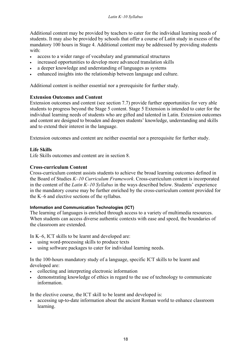Additional content may be provided by teachers to cater for the individual learning needs of students. It may also be provided by schools that offer a course of Latin study in excess of the mandatory 100 hours in Stage 4. Additional content may be addressed by providing students with:

- access to a wider range of vocabulary and grammatical structures
- increased opportunities to develop more advanced translation skills
- a deeper knowledge and understanding of languages as systems
- enhanced insights into the relationship between language and culture.

Additional content is neither essential nor a prerequisite for further study.

#### **Extension Outcomes and Content**

Extension outcomes and content (see section 7.7) provide further opportunities for very able students to progress beyond the Stage 5 content. Stage 5 Extension is intended to cater for the individual learning needs of students who are gifted and talented in Latin. Extension outcomes and content are designed to broaden and deepen students' knowledge, understanding and skills and to extend their interest in the language.

Extension outcomes and content are neither essential nor a prerequisite for further study.

#### **Life Skills**

Life Skills outcomes and content are in section 8.

#### **Cross-curriculum Content**

Cross-curriculum content assists students to achieve the broad learning outcomes defined in the Board of Studies *K–10 Curriculum Framework*. Cross-curriculum content is incorporated in the content of the *Latin K–10 Syllabus* in the ways described below. Students' experience in the mandatory course may be further enriched by the cross-curriculum content provided for the K–6 and elective sections of the syllabus.

#### **Information and Communication Technologies (ICT)**

The learning of languages is enriched through access to a variety of multimedia resources. When students can access diverse authentic contexts with ease and speed, the boundaries of the classroom are extended.

In K–6, ICT skills to be learnt and developed are:

- using word-processing skills to produce texts
- using software packages to cater for individual learning needs.

In the 100-hours mandatory study of a language, specific ICT skills to be learnt and developed are:

- collecting and interpreting electronic information
- demonstrating knowledge of ethics in regard to the use of technology to communicate information.

In the elective course, the ICT skill to be learnt and developed is:

• accessing up-to-date information about the ancient Roman world to enhance classroom learning.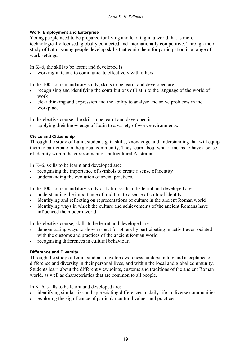#### *Latin K–10 Syllabus*

#### **Work, Employment and Enterprise**

Young people need to be prepared for living and learning in a world that is more technologically focused, globally connected and internationally competitive. Through their study of Latin, young people develop skills that equip them for participation in a range of work settings.

In K–6, the skill to be learnt and developed is:

working in teams to communicate effectively with others.

In the 100-hours mandatory study, skills to be learnt and developed are:

- recognising and identifying the contributions of Latin to the language of the world of work
- clear thinking and expression and the ability to analyse and solve problems in the workplace.

In the elective course, the skill to be learnt and developed is:

• applying their knowledge of Latin to a variety of work environments.

#### **Civics and Citizenship**

Through the study of Latin, students gain skills, knowledge and understanding that will equip them to participate in the global community. They learn about what it means to have a sense of identity within the environment of multicultural Australia.

In K–6, skills to be learnt and developed are:

- recognising the importance of symbols to create a sense of identity
- understanding the evolution of social practices.

In the 100-hours mandatory study of Latin, skills to be learnt and developed are:

- understanding the importance of tradition to a sense of cultural identity
- identifying and reflecting on representations of culture in the ancient Roman world
- identifying ways in which the culture and achievements of the ancient Romans have influenced the modern world.

In the elective course, skills to be learnt and developed are:

- demonstrating ways to show respect for others by participating in activities associated with the customs and practices of the ancient Roman world
- recognising differences in cultural behaviour.

#### **Difference and Diversity**

Through the study of Latin, students develop awareness, understanding and acceptance of difference and diversity in their personal lives, and within the local and global community. Students learn about the different viewpoints, customs and traditions of the ancient Roman world, as well as characteristics that are common to all people.

In K–6, skills to be learnt and developed are:

- identifying similarities and appreciating differences in daily life in diverse communities
- exploring the significance of particular cultural values and practices.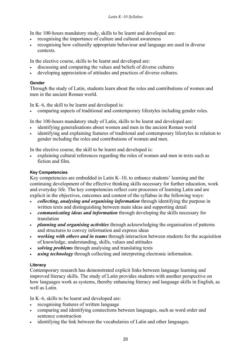In the 100-hours mandatory study, skills to be learnt and developed are:

- recognising the importance of culture and cultural awareness
- recognising how culturally appropriate behaviour and language are used in diverse contexts.

In the elective course, skills to be learnt and developed are:

- discussing and comparing the values and beliefs of diverse cultures
- developing appreciation of attitudes and practices of diverse cultures.

#### **Gender**

Through the study of Latin, students learn about the roles and contributions of women and men in the ancient Roman world.

In K–6, the skill to be learnt and developed is:

• comparing aspects of traditional and contemporary lifestyles including gender roles.

In the 100-hours mandatory study of Latin, skills to be learnt and developed are:

- identifying generalisations about women and men in the ancient Roman world
- identifying and explaining features of traditional and contemporary lifestyles in relation to gender including the roles and contributions of women and men.

In the elective course, the skill to be learnt and developed is:

• explaining cultural references regarding the roles of women and men in texts such as fiction and film.

#### **Key Competencies**

Key competencies are embedded in Latin K–10, to enhance students' learning and the continuing development of the effective thinking skills necessary for further education, work and everyday life. The key competencies reflect core processes of learning Latin and are explicit in the objectives, outcomes and content of the syllabus in the following ways:

- *collecting, analysing and organising information* through identifying the purpose in written texts and distinguishing between main ideas and supporting detail
- *communicating ideas and information* through developing the skills necessary for translation
- *planning and organising activities* through acknowledging the organisation of patterns and structures to convey information and express ideas
- *working with others and in teams* through interaction between students for the acquisition of knowledge, understanding, skills, values and attitudes
- *solving problems* through analysing and translating texts
- **using technology** through collecting and interpreting electronic information.

#### **Literacy**

Contemporary research has demonstrated explicit links between language learning and improved literacy skills. The study of Latin provides students with another perspective on how languages work as systems, thereby enhancing literacy and language skills in English, as well as Latin.

In K–6, skills to be learnt and developed are:

- recognising features of written language
- comparing and identifying connections between languages, such as word order and sentence construction
- identifying the link between the vocabularies of Latin and other languages.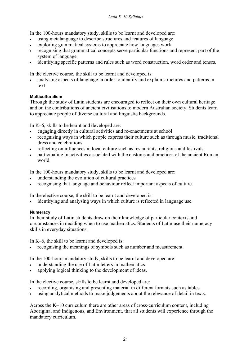In the 100-hours mandatory study, skills to be learnt and developed are:

- using metalanguage to describe structures and features of language
- exploring grammatical systems to appreciate how languages work
- recognising that grammatical concepts serve particular functions and represent part of the system of language
- identifying specific patterns and rules such as word construction, word order and tenses.

In the elective course, the skill to be learnt and developed is:

• analysing aspects of language in order to identify and explain structures and patterns in text.

#### **Multiculturalism**

Through the study of Latin students are encouraged to reflect on their own cultural heritage and on the contributions of ancient civilisations to modern Australian society. Students learn to appreciate people of diverse cultural and linguistic backgrounds.

In K–6, skills to be learnt and developed are:

- engaging directly in cultural activities and re-enactments at school
- recognising ways in which people express their culture such as through music, traditional dress and celebrations
- reflecting on influences in local culture such as restaurants, religions and festivals
- participating in activities associated with the customs and practices of the ancient Roman world.

In the 100-hours mandatory study, skills to be learnt and developed are:

- understanding the evolution of cultural practices
- recognising that language and behaviour reflect important aspects of culture.

In the elective course, the skill to be learnt and developed is:

• identifying and analysing ways in which culture is reflected in language use.

#### **Numeracy**

In their study of Latin students draw on their knowledge of particular contexts and circumstances in deciding when to use mathematics. Students of Latin use their numeracy skills in everyday situations.

In K–6, the skill to be learnt and developed is:

• recognising the meanings of symbols such as number and measurement.

In the 100-hours mandatory study, skills to be learnt and developed are:

- understanding the use of Latin letters in mathematics
- applying logical thinking to the development of ideas.

In the elective course, skills to be learnt and developed are:

- recording, organising and presenting material in different formats such as tables
- using analytical methods to make judgements about the relevance of detail in texts.

Across the K–10 curriculum there are other areas of cross-curriculum content, including Aboriginal and Indigenous, and Environment, that all students will experience through the mandatory curriculum.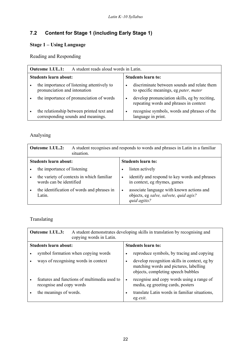## **7.2 Content for Stage 1 (including Early Stage 1)**

## **Stage 1 – Using Language**

Reading and Responding

|                              | A student reads aloud words in Latin.<br><b>Outcome 1.UL.1:</b>                 |                           |                                                                                         |  |
|------------------------------|---------------------------------------------------------------------------------|---------------------------|-----------------------------------------------------------------------------------------|--|
| <b>Students learn about:</b> |                                                                                 | <b>Students learn to:</b> |                                                                                         |  |
|                              | the importance of listening attentively to<br>pronunciation and intonation      |                           | discriminate between sounds and relate them<br>to specific meanings, eg pater, mater    |  |
|                              | the importance of pronunciation of words                                        |                           | develop pronunciation skills, eg by reciting,<br>repeating words and phrases in context |  |
|                              | the relationship between printed text and<br>corresponding sounds and meanings. |                           | recognise symbols, words and phrases of the<br>language in print.                       |  |

## Analysing

| <b>Outcome 1.UL.2:</b><br>situation.                                 |                           | A student recognises and responds to words and phrases in Latin in a familiar                       |  |
|----------------------------------------------------------------------|---------------------------|-----------------------------------------------------------------------------------------------------|--|
| Students learn about:                                                | <b>Students learn to:</b> |                                                                                                     |  |
| the importance of listening                                          | $\bullet$                 | listen actively                                                                                     |  |
| the variety of contexts in which familiar<br>words can be identified | $\bullet$                 | identify and respond to key words and phrases<br>in context, eg rhymes, games                       |  |
| the identification of words and phrases in<br>Latin.                 | $\bullet$                 | associate language with known actions and<br>objects, eg salve, salvete, quid agis?<br>quid agitis? |  |

## Translating

| Outcome 1.UL.3:<br>copying words in Latin.                               |                    | A student demonstrates developing skills in translation by recognising and                                                   |  |
|--------------------------------------------------------------------------|--------------------|------------------------------------------------------------------------------------------------------------------------------|--|
| Students learn about:                                                    | Students learn to: |                                                                                                                              |  |
| symbol formation when copying words                                      |                    | reproduce symbols, by tracing and copying                                                                                    |  |
| ways of recognising words in context                                     |                    | develop recognition skills in context, eg by<br>matching words and pictures, labelling<br>objects, completing speech bubbles |  |
| features and functions of multimedia used to<br>recognise and copy words | $\bullet$          | recognise and copy words using a range of<br>media, eg greeting cards, posters                                               |  |
| the meanings of words.                                                   |                    | translate Latin words in familiar situations,<br>eg exit.                                                                    |  |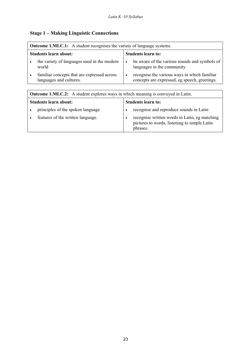## **Stage 1 – Making Linguistic Connections**

| <b>Outcome 1.MLC.1:</b> A student recognises the variety of language systems. |                                                                        |           |                                                                                               |  |  |
|-------------------------------------------------------------------------------|------------------------------------------------------------------------|-----------|-----------------------------------------------------------------------------------------------|--|--|
| <b>Students learn about:</b>                                                  |                                                                        |           | <b>Students learn to:</b>                                                                     |  |  |
|                                                                               | the variety of languages used in the modern<br>world                   | $\bullet$ | be aware of the various sounds and symbols of<br>languages in the community                   |  |  |
|                                                                               | familiar concepts that are expressed across<br>languages and cultures. |           | recognise the various ways in which familiar<br>concepts are expressed, eg speech, greetings. |  |  |

|                              | <b>Outcome 1.MLC.2:</b> A student explores ways in which meaning is conveyed in Latin. |  |                                                                                                           |  |  |
|------------------------------|----------------------------------------------------------------------------------------|--|-----------------------------------------------------------------------------------------------------------|--|--|
| <b>Students learn about:</b> |                                                                                        |  | <b>Students learn to:</b>                                                                                 |  |  |
|                              | principles of the spoken language                                                      |  | recognise and reproduce sounds in Latin                                                                   |  |  |
|                              | features of the written language.                                                      |  | recognise written words in Latin, eg matching<br>pictures to words, listening to simple Latin<br>phrases. |  |  |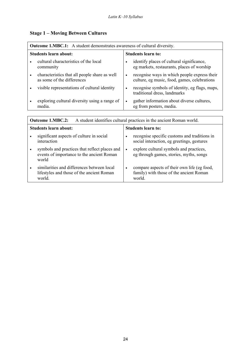## **Stage 1 – Moving Between Cultures**

| <b>Outcome 1.MBC.1:</b> A student demonstrates awareness of cultural diversity. |                                                                             |                           |                                                                                              |
|---------------------------------------------------------------------------------|-----------------------------------------------------------------------------|---------------------------|----------------------------------------------------------------------------------------------|
| <b>Students learn about:</b>                                                    |                                                                             | <b>Students learn to:</b> |                                                                                              |
|                                                                                 | cultural characteristics of the local<br>community                          |                           | identify places of cultural significance,<br>eg markets, restaurants, places of worship      |
|                                                                                 | characteristics that all people share as well<br>as some of the differences | $\bullet$                 | recognise ways in which people express their<br>culture, eg music, food, games, celebrations |
|                                                                                 | visible representations of cultural identity                                | $\bullet$                 | recognise symbols of identity, eg flags, maps,<br>traditional dress, landmarks               |
|                                                                                 | exploring cultural diversity using a range of<br>media.                     |                           | gather information about diverse cultures,<br>eg from posters, media.                        |

| <b>Outcome 1.MBC.2:</b><br>A student identifies cultural practices in the ancient Roman world.      |           |                                                                                                  |  |
|-----------------------------------------------------------------------------------------------------|-----------|--------------------------------------------------------------------------------------------------|--|
| Students learn about:                                                                               |           | <b>Students learn to:</b>                                                                        |  |
| significant aspects of culture in social<br>interaction                                             |           | recognise specific customs and traditions in<br>social interaction, eg greetings, gestures       |  |
| symbols and practices that reflect places and<br>events of importance to the ancient Roman<br>world |           | explore cultural symbols and practices,<br>eg through games, stories, myths, songs               |  |
| similarities and differences between local<br>lifestyles and those of the ancient Roman<br>world.   | $\bullet$ | compare aspects of their own life (eg food,<br>family) with those of the ancient Roman<br>world. |  |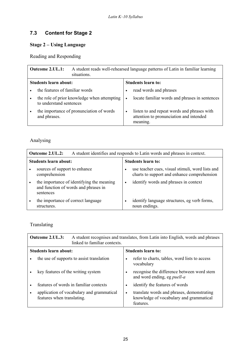## **7.3 Content for Stage 2**

### **Stage 2 – Using Language**

Reading and Responding

|                       | <b>Outcome 2.UL.1:</b><br>A student reads well-rehearsed language patterns of Latin in familiar learning<br>situations. |                           |                                                                                                    |
|-----------------------|-------------------------------------------------------------------------------------------------------------------------|---------------------------|----------------------------------------------------------------------------------------------------|
| Students learn about: |                                                                                                                         | <b>Students learn to:</b> |                                                                                                    |
|                       | the features of familiar words                                                                                          |                           | read words and phrases                                                                             |
|                       | the role of prior knowledge when attempting<br>to understand sentences                                                  |                           | locate familiar words and phrases in sentences                                                     |
|                       | the importance of pronunciation of words<br>and phrases.                                                                |                           | listen to and repeat words and phrases with<br>attention to pronunciation and intended<br>meaning. |

## Analysing

|                              | A student identifies and responds to Latin words and phrases in context.<br><b>Outcome 2.UL.2:</b> |                           |                                                                                                 |
|------------------------------|----------------------------------------------------------------------------------------------------|---------------------------|-------------------------------------------------------------------------------------------------|
| <b>Students learn about:</b> |                                                                                                    | <b>Students learn to:</b> |                                                                                                 |
|                              | sources of support to enhance<br>comprehension                                                     | $\bullet$                 | use teacher cues, visual stimuli, word lists and<br>charts to support and enhance comprehension |
|                              | the importance of identifying the meaning<br>and function of words and phrases in<br>sentences     | $\bullet$                 | identify words and phrases in context                                                           |
|                              | the importance of correct language<br>structures.                                                  | $\bullet$                 | identify language structures, eg verb forms,<br>noun endings.                                   |

Translating

| <b>Outcome 2.UL.3:</b><br>A student recognises and translates, from Latin into English, words and phrases<br>linked to familiar contexts. |                                                                                                                 |  |  |
|-------------------------------------------------------------------------------------------------------------------------------------------|-----------------------------------------------------------------------------------------------------------------|--|--|
| Students learn about:                                                                                                                     | <b>Students learn to:</b>                                                                                       |  |  |
| the use of supports to assist translation                                                                                                 | refer to charts, tables, word lists to access<br>vocabulary                                                     |  |  |
| key features of the writing system                                                                                                        | recognise the difference between word stem<br>and word ending, eg puell-a                                       |  |  |
| features of words in familiar contexts                                                                                                    | identify the features of words                                                                                  |  |  |
| application of vocabulary and grammatical<br>features when translating.                                                                   | translate words and phrases, demonstrating<br>$\bullet$<br>knowledge of vocabulary and grammatical<br>features. |  |  |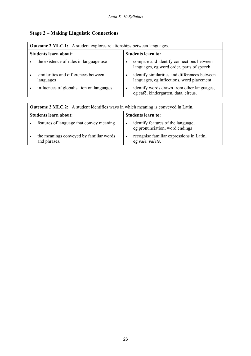## **Stage 2 – Making Linguistic Connections**

| <b>Outcome 2.MLC.1:</b> A student explores relationships between languages. |                                                                                            |  |  |
|-----------------------------------------------------------------------------|--------------------------------------------------------------------------------------------|--|--|
| <b>Students learn about:</b>                                                | <b>Students learn to:</b>                                                                  |  |  |
| the existence of rules in language use                                      | compare and identify connections between<br>languages, eg word order, parts of speech      |  |  |
| similarities and differences between<br>languages                           | identify similarities and differences between<br>languages, eg inflections, word placement |  |  |
| influences of globalisation on languages.                                   | identify words drawn from other languages,<br>eg café, kindergarten, data, circus.         |  |  |

| <b>Outcome 2.MLC.2:</b> A student identifies ways in which meaning is conveyed in Latin. |                                                                      |  |
|------------------------------------------------------------------------------------------|----------------------------------------------------------------------|--|
| Students learn about:                                                                    | <b>Students learn to:</b>                                            |  |
| features of language that convey meaning                                                 | identify features of the language,<br>eg pronunciation, word endings |  |
| the meanings conveyed by familiar words<br>and phrases.                                  | recognise familiar expressions in Latin,<br>eg vale, valete.         |  |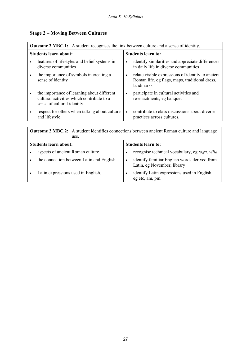## **Stage 2 – Moving Between Cultures**

| <b>Outcome 2.MBC.1:</b> A student recognises the link between culture and a sense of identity. |                                                                                                                       |                           |                                                                                                                  |
|------------------------------------------------------------------------------------------------|-----------------------------------------------------------------------------------------------------------------------|---------------------------|------------------------------------------------------------------------------------------------------------------|
|                                                                                                | Students learn about:                                                                                                 | <b>Students learn to:</b> |                                                                                                                  |
|                                                                                                | features of lifestyles and belief systems in<br>diverse communities                                                   |                           | identify similarities and appreciate differences<br>in daily life in diverse communities                         |
|                                                                                                | the importance of symbols in creating a<br>sense of identity                                                          |                           | relate visible expressions of identity to ancient<br>Roman life, eg flags, maps, traditional dress,<br>landmarks |
|                                                                                                | the importance of learning about different<br>cultural activities which contribute to a<br>sense of cultural identity | $\bullet$                 | participate in cultural activities and<br>re-enactments, eg banquet                                              |
|                                                                                                | respect for others when talking about culture<br>and lifestyle.                                                       |                           | contribute to class discussions about diverse<br>practices across cultures.                                      |

|                              | <b>Outcome 2.MBC.2:</b> A student identifies connections between ancient Roman culture and language<br>use. |                           |                                                                             |  |
|------------------------------|-------------------------------------------------------------------------------------------------------------|---------------------------|-----------------------------------------------------------------------------|--|
| <b>Students learn about:</b> |                                                                                                             | <b>Students learn to:</b> |                                                                             |  |
|                              | aspects of ancient Roman culture                                                                            |                           | recognise technical vocabulary, eg toga, villa                              |  |
|                              | the connection between Latin and English                                                                    |                           | identify familiar English words derived from<br>Latin, eg November, library |  |
|                              | Latin expressions used in English.                                                                          |                           | identify Latin expressions used in English.<br>eg etc, am, pm.              |  |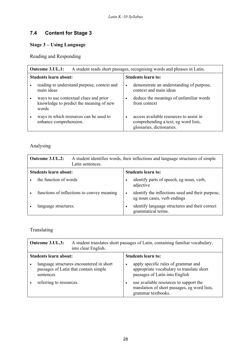## **7.4 Content for Stage 3**

### **Stage 3 – Using Language**

Reading and Responding

| A student reads short passages, recognising words and phrases in Latin.<br>Outcome 3.UL.1: |                                                                                                              |  |  |
|--------------------------------------------------------------------------------------------|--------------------------------------------------------------------------------------------------------------|--|--|
| <b>Students learn about:</b>                                                               | <b>Students learn to:</b>                                                                                    |  |  |
| reading to understand purpose, context and<br>main ideas                                   | demonstrate an understanding of purpose,<br>$\bullet$<br>context and main ideas                              |  |  |
| ways to use contextual clues and prior<br>knowledge to predict the meaning of new<br>words | deduce the meanings of unfamiliar words<br>from context                                                      |  |  |
| ways in which resources can be used to<br>enhance comprehension.                           | access available resources to assist in<br>comprehending a text, eg word lists,<br>glossaries, dictionaries. |  |  |

### Analysing

|                              | Outcome 3.UL.2:<br>A student identifies words, their inflections and language structures of simple<br>Latin sentences. |  |                                                                                 |  |
|------------------------------|------------------------------------------------------------------------------------------------------------------------|--|---------------------------------------------------------------------------------|--|
| <b>Students learn about:</b> |                                                                                                                        |  | Students learn to:                                                              |  |
|                              | the function of words                                                                                                  |  | identify parts of speech, eg noun, verb,<br>adjective                           |  |
|                              | functions of inflections to convey meaning                                                                             |  | identify the inflections used and their purpose,<br>eg noun cases, verb endings |  |
|                              | language structures.                                                                                                   |  | identify language structures and their correct<br>grammatical terms.            |  |

## Translating

|                              | Outcome 3.UL.3:<br>A student translates short passages of Latin, containing familiar vocabulary,<br>into clear English. |                                                                                                                                 |  |
|------------------------------|-------------------------------------------------------------------------------------------------------------------------|---------------------------------------------------------------------------------------------------------------------------------|--|
| <b>Students learn about:</b> |                                                                                                                         | <b>Students learn to:</b>                                                                                                       |  |
|                              | language structures encountered in short<br>passages of Latin that contain simple<br>sentences                          | apply specific rules of grammar and<br>$\bullet$<br>appropriate vocabulary to translate short<br>passages of Latin into English |  |
|                              | referring to resources.                                                                                                 | use available resources to support the<br>translation of short passages, eg word lists,<br>grammar textbooks.                   |  |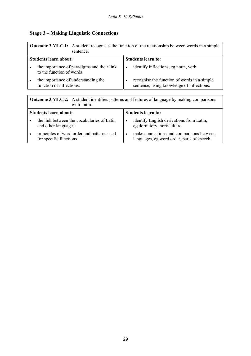#### **Stage 3 – Making Linguistic Connections**

| <b>Outcome 3.MLC.1:</b> A student recognises the function of the relationship between words in a simple<br>sentence. |                                                                                          |  |  |
|----------------------------------------------------------------------------------------------------------------------|------------------------------------------------------------------------------------------|--|--|
| Students learn about:                                                                                                | <b>Students learn to:</b>                                                                |  |  |
| the importance of paradigms and their link<br>to the function of words                                               | identify inflections, eg noun, verb<br>$\bullet$                                         |  |  |
| the importance of understanding the<br>function of inflections.                                                      | recognise the function of words in a simple<br>sentence, using knowledge of inflections. |  |  |

**Outcome 3.MLC.2:** A student identifies patterns and features of language by making comparisons with Latin. **Students learn about: Students learn to:**  • the link between the vocabularies of Latin and other languages • identify English derivations from Latin, eg dormitory, horticulture • principles of word order and patterns used for specific functions. • make connections and comparisons between languages, eg word order, parts of speech.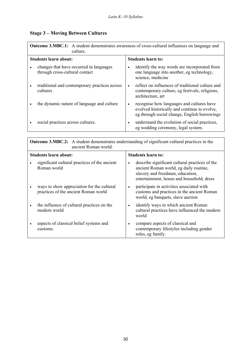## **Stage 3 – Moving Between Cultures**

| <b>Outcome 3.MBC.1:</b> A student demonstrates awareness of cross-cultural influences on language and<br>culture. |                           |                                                                                                                                           |
|-------------------------------------------------------------------------------------------------------------------|---------------------------|-------------------------------------------------------------------------------------------------------------------------------------------|
| <b>Students learn about:</b>                                                                                      | <b>Students learn to:</b> |                                                                                                                                           |
| changes that have occurred in languages<br>through cross-cultural contact                                         |                           | identify the way words are incorporated from<br>one language into another, eg technology,<br>science, medicine                            |
| traditional and contemporary practices across<br>cultures                                                         | $\bullet$                 | reflect on influences of traditional culture and<br>contemporary culture, eg festivals, religions,<br>architecture, art                   |
| the dynamic nature of language and culture                                                                        | $\bullet$                 | recognise how languages and cultures have<br>evolved historically and continue to evolve,<br>eg through social change, English borrowings |
| social practices across cultures.                                                                                 | $\bullet$                 | understand the evolution of social practices,<br>eg wedding ceremony, legal system.                                                       |

| <b>Outcome 3.MBC.2:</b> A student demonstrates understanding of significant cultural practices in the<br>ancient Roman world. |                                                                                                                                                                                        |  |
|-------------------------------------------------------------------------------------------------------------------------------|----------------------------------------------------------------------------------------------------------------------------------------------------------------------------------------|--|
| Students learn about:                                                                                                         | <b>Students learn to:</b>                                                                                                                                                              |  |
| significant cultural practices of the ancient<br>Roman world                                                                  | describe significant cultural practices of the<br>$\bullet$<br>ancient Roman world, eg daily routine,<br>slavery and freedmen, education,<br>entertainment, house and household, dress |  |
| ways to show appreciation for the cultural<br>$\bullet$<br>practices of the ancient Roman world                               | participate in activities associated with<br>$\bullet$<br>customs and practices in the ancient Roman<br>world, eg banquets, slave auction                                              |  |
| the influence of cultural practices on the<br>$\bullet$<br>modern world                                                       | identify ways in which ancient Roman<br>$\bullet$<br>cultural practices have influenced the modern<br>world                                                                            |  |
| aspects of classical belief systems and<br>$\bullet$<br>customs.                                                              | compare aspects of classical and<br>$\bullet$<br>contemporary lifestyles including gender<br>roles, eg family.                                                                         |  |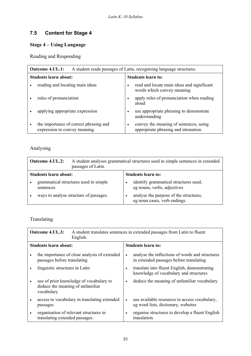## **7.5 Content for Stage 4**

### **Stage 4 – Using Language**

Reading and Responding

| A student reads passages of Latin, recognising language structures.<br><b>Outcome 4.UL.1:</b> |                                                                         |                           |                                                                                |  |
|-----------------------------------------------------------------------------------------------|-------------------------------------------------------------------------|---------------------------|--------------------------------------------------------------------------------|--|
| <b>Students learn about:</b>                                                                  |                                                                         | <b>Students learn to:</b> |                                                                                |  |
|                                                                                               | reading and locating main ideas                                         |                           | read and locate main ideas and significant<br>words which convey meaning       |  |
|                                                                                               | rules of pronunciation                                                  |                           | apply rules of pronunciation when reading<br>aloud                             |  |
|                                                                                               | applying appropriate expression                                         |                           | use appropriate phrasing to demonstrate<br>understanding                       |  |
|                                                                                               | the importance of correct phrasing and<br>expression to convey meaning. | $\bullet$                 | convey the meaning of sentences, using<br>appropriate phrasing and intonation. |  |

## Analysing

| A student analyses grammatical structures used in simple sentences in extended<br>Outcome 4.UL.2:<br>passages of Latin. |                                                    |                                                                        |  |
|-------------------------------------------------------------------------------------------------------------------------|----------------------------------------------------|------------------------------------------------------------------------|--|
| Students learn about:                                                                                                   |                                                    | <b>Students learn to:</b>                                              |  |
|                                                                                                                         | grammatical structures used in simple<br>sentences | identify grammatical structures used,<br>eg nouns, verbs, adjectives   |  |
|                                                                                                                         | ways to analyse structure of passages.             | analyse the purpose of the structures,<br>eg noun cases, verb endings. |  |

### Translating

| <b>Outcome 4.UL.3:</b><br>English.                                                        | A student translates sentences in extended passages from Latin to fluent                                |  |  |
|-------------------------------------------------------------------------------------------|---------------------------------------------------------------------------------------------------------|--|--|
| <b>Students learn about:</b>                                                              | <b>Students learn to:</b>                                                                               |  |  |
| the importance of close analysis of extended<br>passages before translating               | analyse the inflections of words and structures<br>$\bullet$<br>in extended passages before translating |  |  |
| linguistic structures in Latin                                                            | translate into fluent English, demonstrating<br>knowledge of vocabulary and structures                  |  |  |
| use of prior knowledge of vocabulary to<br>deduce the meaning of unfamiliar<br>vocabulary | deduce the meaning of unfamiliar vocabulary<br>$\bullet$                                                |  |  |
| access to vocabulary in translating extended<br>passages                                  | use available resources to access vocabulary,<br>$\bullet$<br>eg word lists, dictionary, websites       |  |  |
| organisation of relevant structures in<br>translating extended passages.                  | organise structures to develop a fluent English<br>translation.                                         |  |  |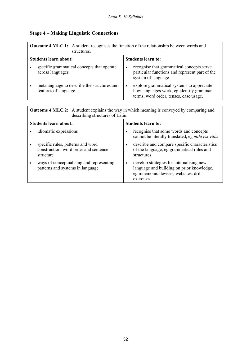## **Stage 4 – Making Linguistic Connections**

|                       | <b>Outcome 4.MLC.1:</b> A student recognises the function of the relationship between words and<br>structures. |                           |                                                                                                                                |  |
|-----------------------|----------------------------------------------------------------------------------------------------------------|---------------------------|--------------------------------------------------------------------------------------------------------------------------------|--|
| Students learn about: |                                                                                                                | <b>Students learn to:</b> |                                                                                                                                |  |
|                       | specific grammatical concepts that operate<br>across languages                                                 |                           | recognise that grammatical concepts serve<br>particular functions and represent part of the<br>system of language              |  |
|                       | metalanguage to describe the structures and<br>features of language.                                           |                           | explore grammatical systems to appreciate<br>how languages work, eg identify grammar<br>terms, word order, tenses, case usage. |  |

| <b>Outcome 4.MLC.2:</b> A student explains the way in which meaning is conveyed by comparing and<br>describing structures of Latin. |                           |                                                                                                                                             |
|-------------------------------------------------------------------------------------------------------------------------------------|---------------------------|---------------------------------------------------------------------------------------------------------------------------------------------|
| Students learn about:                                                                                                               | <b>Students learn to:</b> |                                                                                                                                             |
| idiomatic expressions                                                                                                               |                           | recognise that some words and concepts<br>cannot be literally translated, eg mihi est villa                                                 |
| specific rules, patterns and word<br>construction, word order and sentence<br>structure                                             |                           | describe and compare specific characteristics<br>of the language, eg grammatical rules and<br>structures                                    |
| ways of conceptualising and representing<br>patterns and systems in language.                                                       |                           | develop strategies for internalising new<br>language and building on prior knowledge,<br>eg mnemonic devices, websites, drill<br>exercises. |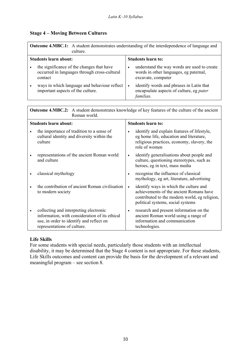#### **Stage 4 – Moving Between Cultures**

|                       | <b>Outcome 4.MBC.1:</b> A student demonstrates understanding of the interdependence of language and<br>culture. |                                                                                                             |  |
|-----------------------|-----------------------------------------------------------------------------------------------------------------|-------------------------------------------------------------------------------------------------------------|--|
| Students learn about: |                                                                                                                 | <b>Students learn to:</b>                                                                                   |  |
|                       | the significance of the changes that have<br>occurred in languages through cross-cultural<br>contact            | understand the way words are used to create<br>words in other languages, eg paternal,<br>excavate, computer |  |
|                       | ways in which language and behaviour reflect<br>important aspects of the culture.                               | identify words and phrases in Latin that<br>encapsulate aspects of culture, eg pater<br>familias.           |  |

| <b>Outcome 4.MBC.2:</b> A student demonstrates knowledge of key features of the culture of the ancient<br>Roman world.                                              |                                                                                                                                                                                      |  |
|---------------------------------------------------------------------------------------------------------------------------------------------------------------------|--------------------------------------------------------------------------------------------------------------------------------------------------------------------------------------|--|
| <b>Students learn about:</b>                                                                                                                                        | <b>Students learn to:</b>                                                                                                                                                            |  |
| the importance of tradition to a sense of<br>cultural identity and diversity within the<br>culture                                                                  | identify and explain features of lifestyle,<br>eg home life, education and literature,<br>religious practices, economy, slavery, the<br>role of women                                |  |
| representations of the ancient Roman world<br>and culture                                                                                                           | identify generalisations about people and<br>$\bullet$<br>culture, questioning stereotypes, such as<br>heroes, eg in text, mass media                                                |  |
| classical mythology                                                                                                                                                 | recognise the influence of classical<br>mythology, eg art, literature, advertising                                                                                                   |  |
| the contribution of ancient Roman civilisation<br>to modern society                                                                                                 | identify ways in which the culture and<br>$\bullet$<br>achievements of the ancient Romans have<br>contributed to the modern world, eg religion,<br>political systems, social systems |  |
| collecting and interpreting electronic<br>information, with consideration of its ethical<br>use, in order to identify and reflect on<br>representations of culture. | research and present information on the<br>$\bullet$<br>ancient Roman world using a range of<br>information and communication<br>technologies.                                       |  |

### **Life Skills**

For some students with special needs, particularly those students with an intellectual disability, it may be determined that the Stage 4 content is not appropriate. For these students, Life Skills outcomes and content can provide the basis for the development of a relevant and meaningful program – see section 8.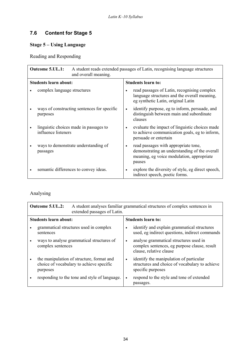## **7.6 Content for Stage 5**

## **Stage 5 – Using Language**

Reading and Responding

| <b>Outcome 5.UL.1:</b><br>A student reads extended passages of Latin, recognising language structures<br>and overall meaning. |                           |                                                                                                                                              |  |
|-------------------------------------------------------------------------------------------------------------------------------|---------------------------|----------------------------------------------------------------------------------------------------------------------------------------------|--|
| <b>Students learn about:</b>                                                                                                  | <b>Students learn to:</b> |                                                                                                                                              |  |
| complex language structures                                                                                                   |                           | read passages of Latin, recognising complex<br>language structures and the overall meaning,<br>eg synthetic Latin, original Latin            |  |
| ways of constructing sentences for specific<br>purposes                                                                       | $\bullet$                 | identify purpose, eg to inform, persuade, and<br>distinguish between main and subordinate<br>clauses                                         |  |
| linguistic choices made in passages to<br>influence listeners                                                                 |                           | evaluate the impact of linguistic choices made<br>to achieve communication goals, eg to inform,<br>persuade or entertain                     |  |
| ways to demonstrate understanding of<br>passages                                                                              |                           | read passages with appropriate tone,<br>demonstrating an understanding of the overall<br>meaning, eg voice modulation, appropriate<br>pauses |  |
| semantic differences to convey ideas.                                                                                         |                           | explore the diversity of style, eg direct speech,<br>indirect speech, poetic forms.                                                          |  |

## Analysing

| A student analyses familiar grammatical structures of complex sentences in<br>Outcome 5.UL.2:<br>extended passages of Latin. |                                                                                                   |                           |                                                                                                                   |
|------------------------------------------------------------------------------------------------------------------------------|---------------------------------------------------------------------------------------------------|---------------------------|-------------------------------------------------------------------------------------------------------------------|
|                                                                                                                              | Students learn about:                                                                             | <b>Students learn to:</b> |                                                                                                                   |
|                                                                                                                              | grammatical structures used in complex<br>sentences                                               |                           | identify and explain grammatical structures<br>used, eg indirect questions, indirect commands                     |
|                                                                                                                              | ways to analyse grammatical structures of<br>complex sentences                                    | $\bullet$                 | analyse grammatical structures used in<br>complex sentences, eg purpose clause, result<br>clause, relative clause |
|                                                                                                                              | the manipulation of structure, format and<br>choice of vocabulary to achieve specific<br>purposes | $\bullet$                 | identify the manipulation of particular<br>structures and choice of vocabulary to achieve<br>specific purposes    |
|                                                                                                                              | responding to the tone and style of language.                                                     |                           | respond to the style and tone of extended<br>passages.                                                            |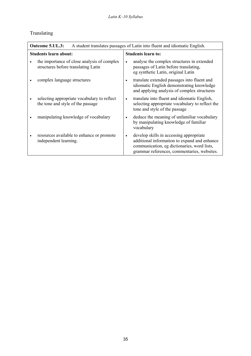## Translating

|                              | Outcome 5.UL.3:<br>A student translates passages of Latin into fluent and idiomatic English. |                                                                                                                                                                                                    |  |  |
|------------------------------|----------------------------------------------------------------------------------------------|----------------------------------------------------------------------------------------------------------------------------------------------------------------------------------------------------|--|--|
| <b>Students learn about:</b> |                                                                                              | <b>Students learn to:</b>                                                                                                                                                                          |  |  |
|                              | the importance of close analysis of complex<br>structures before translating Latin           | analyse the complex structures in extended<br>$\bullet$<br>passages of Latin before translating,<br>eg synthetic Latin, original Latin                                                             |  |  |
|                              | complex language structures                                                                  | translate extended passages into fluent and<br>idiomatic English demonstrating knowledge<br>and applying analysis of complex structures                                                            |  |  |
|                              | selecting appropriate vocabulary to reflect<br>the tone and style of the passage             | translate into fluent and idiomatic English,<br>$\bullet$<br>selecting appropriate vocabulary to reflect the<br>tone and style of the passage                                                      |  |  |
|                              | manipulating knowledge of vocabulary                                                         | deduce the meaning of unfamiliar vocabulary<br>by manipulating knowledge of familiar<br>vocabulary                                                                                                 |  |  |
|                              | resources available to enhance or promote<br>independent learning.                           | develop skills in accessing appropriate<br>$\bullet$<br>additional information to expand and enhance<br>communication, eg dictionaries, word lists,<br>grammar references, commentaries, websites. |  |  |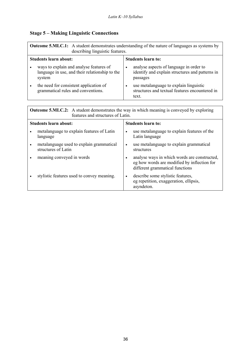## **Stage 5 – Making Linguistic Connections**

| <b>Outcome 5.MLC.1:</b> A student demonstrates understanding of the nature of languages as systems by<br>describing linguistic features. |                                                                                                     |                           |                                                                                                        |  |
|------------------------------------------------------------------------------------------------------------------------------------------|-----------------------------------------------------------------------------------------------------|---------------------------|--------------------------------------------------------------------------------------------------------|--|
| <b>Students learn about:</b>                                                                                                             |                                                                                                     | <b>Students learn to:</b> |                                                                                                        |  |
|                                                                                                                                          | ways to explain and analyse features of<br>language in use, and their relationship to the<br>system | $\bullet$                 | analyse aspects of language in order to<br>identify and explain structures and patterns in<br>passages |  |
|                                                                                                                                          | the need for consistent application of<br>grammatical rules and conventions.                        |                           | use metalanguage to explain linguistic<br>structures and textual features encountered in<br>text.      |  |

| <b>Outcome 5.MLC.2:</b> A student demonstrates the way in which meaning is conveyed by exploring<br>features and structures of Latin. |                                                                 |                           |                                                                                                                                |  |
|---------------------------------------------------------------------------------------------------------------------------------------|-----------------------------------------------------------------|---------------------------|--------------------------------------------------------------------------------------------------------------------------------|--|
| <b>Students learn about:</b>                                                                                                          |                                                                 | <b>Students learn to:</b> |                                                                                                                                |  |
|                                                                                                                                       | metalanguage to explain features of Latin<br>language           |                           | use metalanguage to explain features of the<br>Latin language                                                                  |  |
|                                                                                                                                       | metalanguage used to explain grammatical<br>structures of Latin |                           | use metalanguage to explain grammatical<br>structures                                                                          |  |
|                                                                                                                                       | meaning conveyed in words                                       |                           | analyse ways in which words are constructed,<br>eg how words are modified by inflection for<br>different grammatical functions |  |
|                                                                                                                                       | stylistic features used to convey meaning.                      | $\bullet$                 | describe some stylistic features,<br>eg repetition, exaggeration, ellipsis,<br>asyndeton.                                      |  |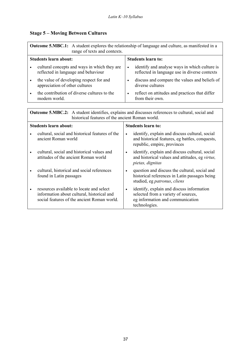## **Stage 5 – Moving Between Cultures**

| <b>Outcome 5.MBC.1:</b> A student explores the relationship of language and culture, as manifested in a<br>range of texts and contexts. |                                                                                     |                           |                                                                                                |  |
|-----------------------------------------------------------------------------------------------------------------------------------------|-------------------------------------------------------------------------------------|---------------------------|------------------------------------------------------------------------------------------------|--|
| <b>Students learn about:</b>                                                                                                            |                                                                                     | <b>Students learn to:</b> |                                                                                                |  |
|                                                                                                                                         | cultural concepts and ways in which they are<br>reflected in language and behaviour | $\bullet$                 | identify and analyse ways in which culture is<br>reflected in language use in diverse contexts |  |
|                                                                                                                                         | the value of developing respect for and<br>appreciation of other cultures           |                           | discuss and compare the values and beliefs of<br>diverse cultures                              |  |
|                                                                                                                                         | the contribution of diverse cultures to the<br>modern world.                        | $\bullet$                 | reflect on attitudes and practices that differ<br>from their own.                              |  |

| <b>Outcome 5.MBC.2:</b> A student identifies, explains and discusses references to cultural, social and |
|---------------------------------------------------------------------------------------------------------|
| historical features of the ancient Roman world.                                                         |

| <b>Students learn about:</b> |                                                                                                                                       | <b>Students learn to:</b> |                                                                                                                                       |
|------------------------------|---------------------------------------------------------------------------------------------------------------------------------------|---------------------------|---------------------------------------------------------------------------------------------------------------------------------------|
|                              | cultural, social and historical features of the<br>ancient Roman world                                                                | $\bullet$                 | identify, explain and discuss cultural, social<br>and historical features, eg battles, conquests,<br>republic, empire, provinces      |
|                              | cultural, social and historical values and<br>attitudes of the ancient Roman world                                                    | $\bullet$                 | identify, explain and discuss cultural, social<br>and historical values and attitudes, eg virtus,<br>pietas, dignitas                 |
|                              | cultural, historical and social references<br>found in Latin passages                                                                 | $\bullet$                 | question and discuss the cultural, social and<br>historical references in Latin passages being<br>studied, eg patronus, cliens        |
|                              | resources available to locate and select<br>information about cultural, historical and<br>social features of the ancient Roman world. | $\bullet$                 | identify, explain and discuss information<br>selected from a variety of sources,<br>eg information and communication<br>technologies. |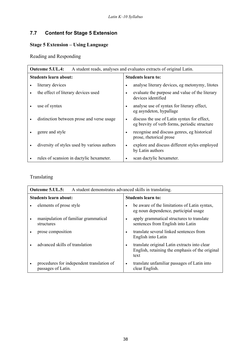## **7.7 Content for Stage 5 Extension**

### **Stage 5 Extension – Using Language**

Reading and Responding

| <b>Outcome 5.UL.4:</b><br>A student reads, analyses and evaluates extracts of original Latin. |                                             |                           |                                                                                             |  |
|-----------------------------------------------------------------------------------------------|---------------------------------------------|---------------------------|---------------------------------------------------------------------------------------------|--|
| <b>Students learn about:</b>                                                                  |                                             | <b>Students learn to:</b> |                                                                                             |  |
|                                                                                               | literary devices                            | $\bullet$                 | analyse literary devices, eg metonymy, litotes                                              |  |
|                                                                                               | the effect of literary devices used         | $\bullet$                 | evaluate the purpose and value of the literary<br>devices identified                        |  |
|                                                                                               | use of syntax                               | ٠                         | analyse use of syntax for literary effect,<br>eg asyndeton, hypallage                       |  |
|                                                                                               | distinction between prose and verse usage   | $\bullet$                 | discuss the use of Latin syntax for effect,<br>eg brevity of verb forms, periodic structure |  |
|                                                                                               | genre and style                             | $\bullet$                 | recognise and discuss genres, eg historical<br>prose, rhetorical prose                      |  |
|                                                                                               | diversity of styles used by various authors | $\bullet$                 | explore and discuss different styles employed<br>by Latin authors                           |  |
|                                                                                               | rules of scansion in dactylic hexameter.    | $\bullet$                 | scan dactylic hexameter.                                                                    |  |

## Translating

| Outcome 5.UL.5:<br>A student demonstrates advanced skills in translating. |                                                                 |                           |                                                                                                         |  |
|---------------------------------------------------------------------------|-----------------------------------------------------------------|---------------------------|---------------------------------------------------------------------------------------------------------|--|
| <b>Students learn about:</b>                                              |                                                                 | <b>Students learn to:</b> |                                                                                                         |  |
|                                                                           | elements of prose style                                         |                           | be aware of the limitations of Latin syntax,<br>eg noun dependence, participial usage                   |  |
|                                                                           | manipulation of familiar grammatical<br>structures              |                           | apply grammatical structures to translate<br>sentences from English into Latin                          |  |
|                                                                           | prose composition                                               | $\bullet$                 | translate several linked sentences from<br>English into Latin                                           |  |
|                                                                           | advanced skills of translation                                  |                           | translate original Latin extracts into clear<br>English, retaining the emphasis of the original<br>text |  |
|                                                                           | procedures for independent translation of<br>passages of Latin. | $\bullet$                 | translate unfamiliar passages of Latin into<br>clear English.                                           |  |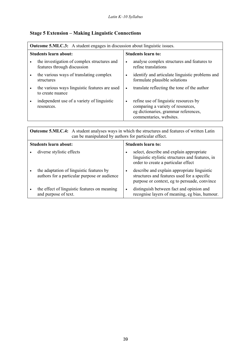## **Stage 5 Extension – Making Linguistic Connections**

| <b>Outcome 5.MLC.3:</b> A student engages in discussion about linguistic issues. |                                                                            |                           |                                                                                                                                               |
|----------------------------------------------------------------------------------|----------------------------------------------------------------------------|---------------------------|-----------------------------------------------------------------------------------------------------------------------------------------------|
| <b>Students learn about:</b>                                                     |                                                                            | <b>Students learn to:</b> |                                                                                                                                               |
|                                                                                  | the investigation of complex structures and<br>features through discussion | $\bullet$                 | analyse complex structures and features to<br>refine translations                                                                             |
|                                                                                  | the various ways of translating complex<br>structures                      | $\bullet$                 | identify and articulate linguistic problems and<br>formulate plausible solutions                                                              |
|                                                                                  | the various ways linguistic features are used<br>to create nuance          | $\bullet$                 | translate reflecting the tone of the author                                                                                                   |
|                                                                                  | independent use of a variety of linguistic<br>resources.                   | $\bullet$                 | refine use of linguistic resources by<br>comparing a variety of resources,<br>eg dictionaries, grammar references,<br>commentaries, websites. |

|                                                      | <b>Outcome 5.MLC.4:</b> A student analyses ways in which the structures and features of written Latin |  |  |
|------------------------------------------------------|-------------------------------------------------------------------------------------------------------|--|--|
| can be manipulated by authors for particular effect. |                                                                                                       |  |  |

| Students learn about: |                                                                                          | <b>Students learn to:</b> |                                                                                                                                            |
|-----------------------|------------------------------------------------------------------------------------------|---------------------------|--------------------------------------------------------------------------------------------------------------------------------------------|
|                       | diverse stylistic effects                                                                | ٠                         | select, describe and explain appropriate<br>linguistic stylistic structures and features, in<br>order to create a particular effect        |
|                       | the adaptation of linguistic features by<br>authors for a particular purpose or audience |                           | describe and explain appropriate linguistic<br>structures and features used for a specific<br>purpose or context, eg to persuade, convince |
|                       | the effect of linguistic features on meaning<br>and purpose of text.                     | ٠                         | distinguish between fact and opinion and<br>recognise layers of meaning, eg bias, humour.                                                  |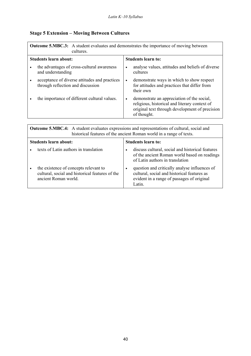## **Stage 5 Extension – Moving Between Cultures**

| <b>Outcome 5.MBC.3:</b> A student evaluates and demonstrates the importance of moving between<br>cultures. |                                                                                                                                                                           |  |  |  |
|------------------------------------------------------------------------------------------------------------|---------------------------------------------------------------------------------------------------------------------------------------------------------------------------|--|--|--|
| <b>Students learn about:</b>                                                                               | <b>Students learn to:</b>                                                                                                                                                 |  |  |  |
| the advantages of cross-cultural awareness<br>and understanding                                            | analyse values, attitudes and beliefs of diverse<br>$\bullet$<br>cultures                                                                                                 |  |  |  |
| acceptance of diverse attitudes and practices<br>through reflection and discussion                         | demonstrate ways in which to show respect<br>$\bullet$<br>for attitudes and practices that differ from<br>their own                                                       |  |  |  |
| the importance of different cultural values.                                                               | demonstrate an appreciation of the social,<br>$\bullet$<br>religious, historical and literary context of<br>original text through development of precision<br>of thought. |  |  |  |
|                                                                                                            |                                                                                                                                                                           |  |  |  |
| <b>Outcome 5.MBC.4:</b> A student evaluates expressions and representations of cultural, social and        |                                                                                                                                                                           |  |  |  |

|                              | <b>Outcome SampCane in Station Cranadics expressions and representations of canaral, social and</b><br>historical features of the ancient Roman world in a range of texts. |                           |                                                                                                                                                      |  |  |
|------------------------------|----------------------------------------------------------------------------------------------------------------------------------------------------------------------------|---------------------------|------------------------------------------------------------------------------------------------------------------------------------------------------|--|--|
| <b>Students learn about:</b> |                                                                                                                                                                            | <b>Students learn to:</b> |                                                                                                                                                      |  |  |
|                              | texts of Latin authors in translation                                                                                                                                      | $\bullet$                 | discuss cultural, social and historical features<br>of the ancient Roman world based on readings<br>of Latin authors in translation                  |  |  |
| ٠                            | the existence of concepts relevant to<br>cultural, social and historical features of the<br>ancient Roman world.                                                           |                           | question and critically analyse influences of<br>cultural, social and historical features as<br>evident in a range of passages of original<br>Latin. |  |  |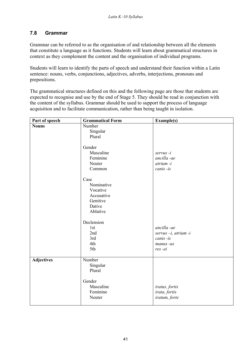### **7.8 Grammar**

Grammar can be referred to as the organisation of and relationship between all the elements that constitute a language as it functions. Students will learn about grammatical structures in context as they complement the content and the organisation of individual programs.

Students will learn to identify the parts of speech and understand their function within a Latin sentence: nouns, verbs, conjunctions, adjectives, adverbs, interjections, pronouns and prepositions.

The grammatical structures defined on this and the following page are those that students are expected to recognise and use by the end of Stage 5. They should be read in conjunction with the content of the syllabus. Grammar should be used to support the process of language acquisition and to facilitate communication, rather than being taught in isolation.

| Part of speech    | <b>Grammatical Form</b> | <b>Example(s)</b>          |
|-------------------|-------------------------|----------------------------|
| <b>Nouns</b>      | Number                  |                            |
|                   | Singular                |                            |
|                   | Plural                  |                            |
|                   |                         |                            |
|                   | Gender                  |                            |
|                   | Masculine               | servus-i                   |
|                   | Feminine                | ancilla-ae                 |
|                   | Neuter                  | atrium -i                  |
|                   | Common                  | canis -is                  |
|                   | Case                    |                            |
|                   | Nominative              |                            |
|                   | Vocative                |                            |
|                   | Accusative              |                            |
|                   | Genitive                |                            |
|                   | Dative                  |                            |
|                   | Ablative                |                            |
|                   |                         |                            |
|                   | Declension              |                            |
|                   | 1st                     | ancilla-ae                 |
|                   | 2nd                     | $s$ ervus $-i$ , atrium -i |
|                   | 3rd                     | canis -is                  |
|                   | 4th                     | manus -us                  |
|                   | 5th                     | res-ei                     |
| <b>Adjectives</b> | Number                  |                            |
|                   | Singular                |                            |
|                   | Plural                  |                            |
|                   |                         |                            |
|                   | Gender                  |                            |
|                   | Masculine               | iratus, fortis             |
|                   | Feminine                | irata, fortis              |
|                   | Neuter                  | iratum, forte              |
|                   |                         |                            |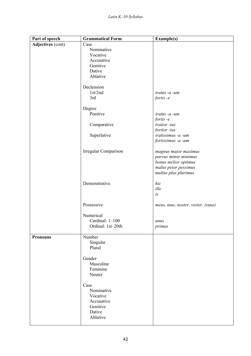| Part of speech    | <b>Grammatical Form</b> | <b>Example(s)</b>                            |
|-------------------|-------------------------|----------------------------------------------|
| Adjectives (cont) | Case                    |                                              |
|                   | Nominative              |                                              |
|                   | Vocative                |                                              |
|                   | Accusative              |                                              |
|                   | Genitive                |                                              |
|                   | Dative                  |                                              |
|                   | Ablative                |                                              |
|                   |                         |                                              |
|                   | Declension              |                                              |
|                   | 1st/2nd                 | iratus -a -um                                |
|                   | 3rd                     | $fortis -e$                                  |
|                   |                         |                                              |
|                   | Degree                  |                                              |
|                   | Positive                | iratus -a -um                                |
|                   |                         | fortis-e                                     |
|                   | Comparative             | iratior -ius                                 |
|                   |                         | fortior -ius                                 |
|                   | Superlative             | iratissimus -a -um                           |
|                   |                         | fortissimus -a -um                           |
|                   | Irregular Comparison    |                                              |
|                   |                         | magnus maior maximus<br>parvus minor minimus |
|                   |                         | bonus melior optimus                         |
|                   |                         | malus peior pessimus                         |
|                   |                         | multus plus plurimus                         |
|                   |                         |                                              |
|                   | Demonstrative           | hic                                          |
|                   |                         | ille                                         |
|                   |                         | is                                           |
|                   |                         |                                              |
|                   | Possessive              | meus, tuus, noster, vester, (suus)           |
|                   |                         |                                              |
|                   | Numerical               |                                              |
|                   | Cardinal: 1-100         | unus                                         |
|                   | Ordinal: 1st-20th       | primus                                       |
|                   |                         |                                              |
| <b>Pronouns</b>   | Number                  |                                              |
|                   | Singular                |                                              |
|                   | Plural                  |                                              |
|                   | Gender                  |                                              |
|                   | Masculine               |                                              |
|                   | Feminine                |                                              |
|                   | Neuter                  |                                              |
|                   |                         |                                              |
|                   | Case                    |                                              |
|                   | Nominative              |                                              |
|                   | Vocative                |                                              |
|                   | Accusative              |                                              |
|                   | Genitive                |                                              |
|                   | Dative                  |                                              |
|                   | Ablative                |                                              |
|                   |                         |                                              |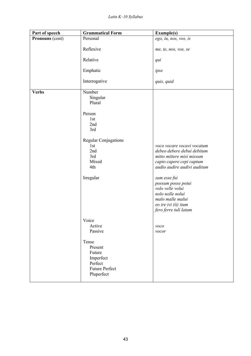| Part of speech  | <b>Grammatical Form</b>                                                                                                                                                    | <b>Example(s)</b>                                                                                                                                                                                                                                                                                                                    |
|-----------------|----------------------------------------------------------------------------------------------------------------------------------------------------------------------------|--------------------------------------------------------------------------------------------------------------------------------------------------------------------------------------------------------------------------------------------------------------------------------------------------------------------------------------|
| Pronouns (cont) | Personal                                                                                                                                                                   | ego, tu, nos, vos, is                                                                                                                                                                                                                                                                                                                |
|                 | Reflexive                                                                                                                                                                  | me, te, nos, vos, se                                                                                                                                                                                                                                                                                                                 |
|                 | Relative                                                                                                                                                                   | qui                                                                                                                                                                                                                                                                                                                                  |
|                 | Emphatic                                                                                                                                                                   | ipse                                                                                                                                                                                                                                                                                                                                 |
|                 | Interrogative                                                                                                                                                              | quis, quid                                                                                                                                                                                                                                                                                                                           |
| <b>Verbs</b>    | Number<br>Singular<br>Plural<br>Person<br>1st<br>2nd<br>3rd<br><b>Regular Conjugations</b><br>1st<br>2nd<br>3rd<br>Mixed<br>4th<br>Irregular<br>Voice<br>Active<br>Passive | voco vocare vocavi vocatum<br>debeo debere debui debitum<br>mitto mittere misi missum<br>capio capere cepi captum<br>audio audire audivi auditum<br>sum esse fui<br>possum posse potui<br>volo velle volui<br>nolo nolle nolui<br>malo malle malui<br>eo ire ivi (ii) itum<br>fero ferre tuli latum<br>$\nu$ oco<br>$\mathit{vocor}$ |
|                 | Tense<br>Present<br>Future<br>Imperfect<br>Perfect<br><b>Future Perfect</b><br>Pluperfect                                                                                  |                                                                                                                                                                                                                                                                                                                                      |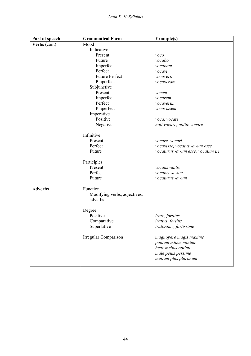| Part of speech | <b>Grammatical Form</b>      | <b>Example(s)</b>                  |
|----------------|------------------------------|------------------------------------|
| Verbs (cont)   | Mood                         |                                    |
|                | Indicative                   |                                    |
|                | Present                      | voco                               |
|                | Future                       | vocabo                             |
|                | Imperfect                    | vocabam                            |
|                | Perfect                      | vocavi                             |
|                | <b>Future Perfect</b>        | vocavero                           |
|                | Pluperfect                   | vocaveram                          |
|                | Subjunctive                  |                                    |
|                | Present                      | vocem                              |
|                | Imperfect                    | vocarem                            |
|                | Perfect                      | vocaverim                          |
|                | Pluperfect                   | vocavissem                         |
|                | Imperative                   |                                    |
|                | Positive                     | voca, vocate                       |
|                | Negative                     | noli vocare, nolite vocare         |
|                |                              |                                    |
|                | Infinitive                   |                                    |
|                | Present                      | vocare, vocari                     |
|                | Perfect                      | vocavisse, vocatus -a -um esse     |
|                | Future                       | vocaturus -a -um esse, vocatum iri |
|                |                              |                                    |
|                | Participles                  |                                    |
|                | Present                      | vocans - antis                     |
|                | Perfect                      | vocatus -a -um                     |
|                | Future                       | vocaturus -a -um                   |
|                |                              |                                    |
| <b>Adverbs</b> | Function                     |                                    |
|                | Modifying verbs, adjectives, |                                    |
|                | adverbs                      |                                    |
|                |                              |                                    |
|                | Degree                       |                                    |
|                | Positive                     | irate, fortiter                    |
|                | Comparative                  | <i>iratius</i> , <i>fortius</i>    |
|                | Superlative                  | iratissime, fortissime             |
|                |                              |                                    |
|                | Irregular Comparison         | magnopere magis maxime             |
|                |                              | paulum minus minime                |
|                |                              | bene melius optime                 |
|                |                              | male peius pessime                 |
|                |                              | multum plus plurimum               |
|                |                              |                                    |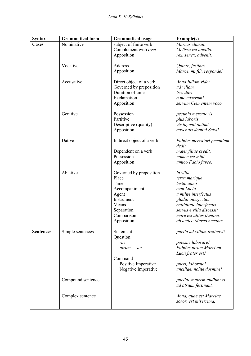| <b>Syntax</b>    | <b>Grammatical form</b> | <b>Grammatical usage</b>                           | <b>Example(s)</b>                    |
|------------------|-------------------------|----------------------------------------------------|--------------------------------------|
| <b>Cases</b>     | Nominative              | subject of finite verb                             | Marcus clamat.                       |
|                  |                         | Complement with esse                               | Melissa est ancilla.                 |
|                  |                         | Apposition                                         | rex, senex, advenit.                 |
|                  |                         |                                                    |                                      |
|                  | Vocative                | Address                                            | Quinte, festina!                     |
|                  |                         | Apposition                                         | Marce, mi fili, responde!            |
|                  | Accusative              |                                                    | Anna Iuliam videt.                   |
|                  |                         | Direct object of a verb<br>Governed by preposition | ad villam                            |
|                  |                         | Duration of time                                   | tres dies                            |
|                  |                         | Exclamation                                        | o me miserum!                        |
|                  |                         | Apposition                                         | servum Clementem voco.               |
|                  |                         |                                                    |                                      |
|                  | Genitive                | Possession                                         | pecunia mercatoris                   |
|                  |                         | Partitive                                          | plus laboris                         |
|                  |                         | Descriptive (quality)                              | vir ingenii optimi                   |
|                  |                         | Apposition                                         | adventus domini Salvii               |
|                  |                         |                                                    |                                      |
|                  | Dative                  | Indirect object of a verb                          | Publius mercatori pecuniam<br>dedit. |
|                  |                         | Dependent on a verb                                | mater filiae credit.                 |
|                  |                         | Possession                                         | nomen est mihi                       |
|                  |                         | Apposition                                         | amico Fabio faveo.                   |
|                  | Ablative                |                                                    |                                      |
|                  |                         | Governed by preposition<br>Place                   | in villa                             |
|                  |                         | Time                                               | terra marique<br>tertio anno         |
|                  |                         | Accompaniment                                      | cum Lucio                            |
|                  |                         | Agent                                              | a milite interfectus                 |
|                  |                         | Instrument                                         | gladio interfectus                   |
|                  |                         | Means                                              | calliditate interfectus              |
|                  |                         | Separation                                         | servus e villa discessit.            |
|                  |                         | Comparison                                         | mare est altius flumine.             |
|                  |                         | Apposition                                         | ab amico Marco necatur.              |
|                  |                         |                                                    |                                      |
| <b>Sentences</b> | Simple sentences        | Statement                                          | puella ad villam festinavit.         |
|                  |                         | Question                                           |                                      |
|                  |                         | $-ne$                                              | potesne laborare?                    |
|                  |                         | $utrum \dots an$                                   | Publius utrum Marci an               |
|                  |                         |                                                    | Lucii frater est?                    |
|                  |                         | Command                                            |                                      |
|                  |                         | Positive Imperative                                | pueri, laborate!                     |
|                  |                         | Negative Imperative                                | ancillae, nolite dormire!            |
|                  | Compound sentence       |                                                    | puellae matrem audiunt et            |
|                  |                         |                                                    | ad atrium festinant.                 |
|                  |                         |                                                    |                                      |
|                  | Complex sentence        |                                                    | Anna, quae est Marciae               |
|                  |                         |                                                    | soror, est miserrima.                |
|                  |                         |                                                    |                                      |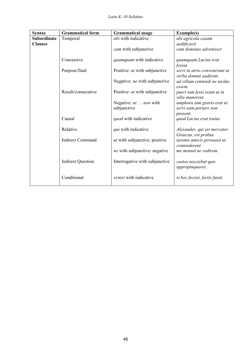| <b>Syntax</b>                        | <b>Grammatical form</b>  | <b>Grammatical usage</b>                    | Example(s)                                              |
|--------------------------------------|--------------------------|---------------------------------------------|---------------------------------------------------------|
| <b>Subordinate</b><br><b>Clauses</b> | Temporal                 | ubi with indicative                         | ubi agricola casam<br>aedificavit                       |
|                                      |                          | cum with subjunctive                        | cum dominus advenisset                                  |
|                                      | Concessive               | <i>quamquam</i> with indicative             | quamquam Lucius erat<br>fessus                          |
|                                      | Purpose/final            | Positive: <i>ut</i> with subjunctive        | servi in atrio convenerunt ut<br>verba domini audirent. |
|                                      |                          | Negative: ne with subjunctive               | ad villam contendi ne tardus<br>essem.                  |
|                                      | Result/consecutive       | Positive: <i>ut</i> with subjunctive        | pueri tam fessi erant ut in<br>villa manerent.          |
|                                      |                          | Negative: <i>ut non</i> with<br>subjunctive | amphora tam gravis erat ut<br>servi eam portare non     |
|                                      |                          |                                             | possent.                                                |
|                                      | Causal                   | quod with indicative                        | quod Lucius erat iratus                                 |
|                                      | Relative                 | qui with indicative                         | Alexander, qui est mercator<br>Graecus, est probus.     |
|                                      | <b>Indirect Command</b>  | <i>ut</i> with subjunctive: positive        | iuvenis amicis persuasit ut<br>contenderent.            |
|                                      |                          | ne with subjunctive: negative               | me monuit ne redirem.                                   |
|                                      | <b>Indirect Question</b> | Interrogative with subjunctive              | custos nesciebat quis<br>appropinquaret.                |
|                                      | Conditional              | si/nisi with indicative                     | si hoc fecisti, fortis fuisti.                          |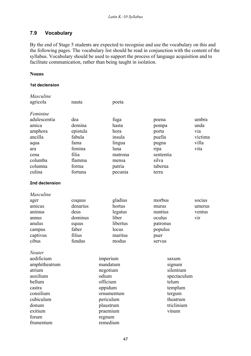### **7.9 Vocabulary**

By the end of Stage 5 students are expected to recognise and use the vocabulary on this and the following pages. The vocabulary list should be read in conjunction with the content of the syllabus. Vocabulary should be used to support the process of language acquisition and to facilitate communication, rather than being taught in isolation.

#### **Nouns**

#### **1st declension**

| Masculine                |          |           |            |             |           |          |  |
|--------------------------|----------|-----------|------------|-------------|-----------|----------|--|
| agricola                 | nauta    |           | poeta      |             |           |          |  |
|                          |          |           |            |             |           |          |  |
| Feminine<br>adulescentia |          |           |            |             |           |          |  |
|                          | dea      |           | fuga       |             | poena     | umbra    |  |
| amica                    | domina   |           | hasta      |             | pompa     | unda     |  |
| amphora                  | epistula |           | hora       |             | porta     | via      |  |
| ancilla                  | fabula   |           | insula     |             | puella    | victima  |  |
| aqua                     | fama     |           | lingua     |             | pugna     | villa    |  |
| ara                      | femina   |           | luna       |             | ripa      | vita     |  |
| cena                     | filia    |           | matrona    |             | sententia |          |  |
| columba                  | flamma   |           | mensa      |             | silva     |          |  |
| columna                  | forma    |           | patria     |             | taberna   |          |  |
| culina                   | fortuna  |           | pecunia    |             | terra     |          |  |
| 2nd declension           |          |           |            |             |           |          |  |
| Masculine                |          |           |            |             |           |          |  |
| ager                     | coquus   |           | gladius    |             | morbus    | socius   |  |
| amicus                   | denarius |           | hortus     |             | murus     | umerus   |  |
| animus                   | deus     |           | legatus    |             | nuntius   | ventus   |  |
| annus                    | dominus  |           | liber      |             | oculus    | vir      |  |
| anulus                   | equus    |           | libertus   |             | patronus  |          |  |
| campus                   | faber    |           | locus      |             | populus   |          |  |
| captivus                 | filius   |           | maritus    |             | puer      |          |  |
| cibus                    | fundus   |           | modus      |             | servus    |          |  |
|                          |          |           |            |             |           |          |  |
| <b>Neuter</b>            |          |           |            |             |           |          |  |
| aedificium               |          | imperium  |            |             | saxum     |          |  |
| amphitheatrum            |          | mandatum  |            |             | signum    |          |  |
| atrium                   |          | negotium  |            | silentium   |           |          |  |
| auxilium                 |          | odium     |            | spectaculum |           |          |  |
| bellum                   |          | officium  |            | telum       |           |          |  |
| castra                   |          | oppidum   |            | templum     |           |          |  |
| consilium                |          |           | ornamentum |             | tergum    |          |  |
| cubiculum                |          |           | periculum  |             |           | theatrum |  |
| donum                    |          | plaustrum |            | triclinium  |           |          |  |
| exitium                  |          | praemium  |            | vinum       |           |          |  |
| forum                    |          | regnum    |            |             |           |          |  |
| frumentum                |          | remedium  |            |             |           |          |  |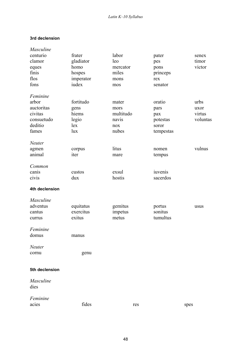#### **3rd declension**

| Masculine      |           |           |           |          |
|----------------|-----------|-----------|-----------|----------|
| centurio       | frater    | labor     | pater     | senex    |
| clamor         | gladiator | leo       | pes       | timor    |
| eques          | homo      | mercator  | pons      | victor   |
| finis          | hospes    | miles     | princeps  |          |
| flos           | imperator | mons      | rex       |          |
| fons           | iudex     | mos       | senator   |          |
| Feminine       |           |           |           |          |
| arbor          | fortitudo | mater     | oratio    | urbs     |
| auctoritas     | gens      | mors      | pars      | uxor     |
| civitas        | hiems     | multitudo | pax       | virtus   |
| consuetudo     | legio     | navis     | potestas  | voluntas |
| deditio        | lex       | nox       | soror     |          |
| fames          | lux       | nubes     | tempestas |          |
| Neuter         |           |           |           |          |
| agmen          | corpus    | litus     | nomen     | vulnus   |
| animal         | iter      | mare      | tempus    |          |
|                |           |           |           |          |
| Common         |           |           |           |          |
| canis          | custos    | exsul     | iuvenis   |          |
| civis          | dux       | hostis    | sacerdos  |          |
| 4th declension |           |           |           |          |
| Masculine      |           |           |           |          |
| adventus       | equitatus | gemitus   | portus    | usus     |
| cantus         | exercitus | impetus   | sonitus   |          |
| currus         | exitus    | metus     | tumultus  |          |
|                |           |           |           |          |
| Feminine       |           |           |           |          |
| domus          | manus     |           |           |          |
| Neuter         |           |           |           |          |
| cornu          | genu      |           |           |          |
|                |           |           |           |          |
| 5th declension |           |           |           |          |
| Masculine      |           |           |           |          |
| dies           |           |           |           |          |
|                |           |           |           |          |
| Feminine       |           |           |           |          |
| acies          | fides     | res       |           | spes     |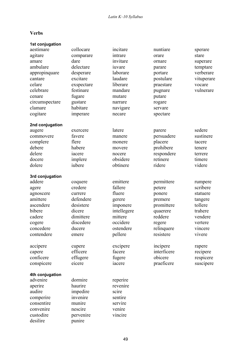### **Verbs**

| 1st conjugation |            |             |             |            |
|-----------------|------------|-------------|-------------|------------|
| aestimare       | collocare  | incitare    | nuntiare    | sperare    |
| agitare         | comparare  | intrare     | orare       | stare      |
| amare           | dare       | invitare    | ornare      | superare   |
| ambulare        | delectare  | iuvare      | parare      | temptare   |
| appropinquare   | desperare  | laborare    | portare     | verberare  |
| cantare         | excitare   | laudare     | postulare   | vituperare |
| celare          | exspectare | liberare    | praestare   | vocare     |
| celebrare       | festinare  | mandare     | pugnare     | vulnerare  |
| cenare          | fugare     | mutare      | putare      |            |
| circumspectare  | gustare    | narrare     | rogare      |            |
| clamare         | habitare   | navigare    | servare     |            |
| cogitare        | imperare   | necare      | spectare    |            |
| 2nd conjugation |            |             |             |            |
| augere          | exercere   | latere      | parere      | sedere     |
| commovere       | favere     | manere      | persuadere  | sustinere  |
| complere        | flere      | monere      | placere     | tacere     |
| debere          | habere     | movere      | prohibere   | tenere     |
| delere          | iacere     | nocere      | respondere  | terrere    |
| docere          | implere    | obsidere    | retinere    | timere     |
| dolere          | iubere     | obtinere    | ridere      | videre     |
| 3rd conjugation |            |             |             |            |
| addere          | coquere    | emittere    | permittere  | rumpere    |
| agere           | credere    | fallere     | petere      | scribere   |
| agnoscere       | currere    | fluere      | ponere      | statuere   |
| amittere        | defendere  | gerere      | premere     | tangere    |
| ascendere       | desistere  | imponere    | promittere  | tollere    |
| bibere          | dicere     | intellegere | quaerere    | trahere    |
| cadere          | dimittere  | mittere     | reddere     | vendere    |
| cogere          | discedere  | occidere    | regere      | vertere    |
| concedere       | ducere     | ostendere   | relinquere  | vincere    |
| contendere      | emere      | pellere     | resistere   | vivere     |
| accipere        | cupere     | excipere    | incipere    | rapere     |
| capere          | efficere   | facere      | interficere | recipere   |
| conficere       | effugere   | fugere      | obicere     | respicere  |
| conspicere      | eicere     | iacere      | praeficere  | suscipere  |
| 4th conjugation |            |             |             |            |
| advenire        | dormire    | reperire    |             |            |
| aperire         | haurire    | revenire    |             |            |
| audire          | impedire   | scire       |             |            |
| comperire       | invenire   | sentire     |             |            |
| consentire      | munire     | servire     |             |            |
| convenire       | nescire    | venire      |             |            |
| custodire       | pervenire  | vincire     |             |            |
| desilire        | punire     |             |             |            |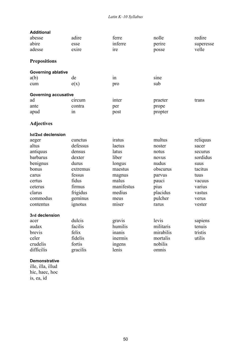| <b>Additional</b>           |          |                 |           |           |
|-----------------------------|----------|-----------------|-----------|-----------|
| abesse                      | adire    | ferre           | nolle     | redire    |
| abire                       | esse     | inferre         | perire    | superesse |
| adesse                      | exire    | <sub>1</sub> re | posse     | velle     |
| <b>Prepositions</b>         |          |                 |           |           |
| <b>Governing ablative</b>   |          |                 |           |           |
| a(b)                        | de       | in              | sine      |           |
| cum                         | e(x)     | pro             | sub       |           |
| <b>Governing accusative</b> |          |                 |           |           |
| ad                          | circum   | inter           | praeter   | trans     |
| ante                        | contra   | per             | prope     |           |
| apud                        | 1n       | post            | propter   |           |
| <b>Adjectives</b>           |          |                 |           |           |
| Ist/2nd declension          |          |                 |           |           |
| aeger                       | cunctus  | iratus          | multus    | reliquus  |
| altus                       | defessus | laetus          | noster    | sacer     |
| antiquus                    | densus   | latus           | notus     | securus   |
| barbarus                    | dexter   | liber           | novus     | sordidus  |
| benignus                    | durus    | longus          | nudus     | suus      |
| bonus                       | extremus | maestus         | obscurus  | tacitus   |
| carus                       | fessus   | magnus          | parvus    | tuus      |
| certus                      | fidus    | malus           | pauci     | vacuus    |
| ceterus                     | firmus   | manifestus      | pius      | varius    |
| clarus                      | frigidus | medius          | placidus  | vastus    |
| commodus                    | geminus  | meus            | pulcher   | verus     |
| contentus                   | ignotus  | miser           | rarus     | vester    |
| 3rd declension              |          |                 |           |           |
| acer                        | dulcis   | gravis          | levis     | sapiens   |
| audax                       | facilis  | humilis         | militaris | tenuis    |
| brevis                      | felix    | inanis          | mirabilis | tristis   |
| celer                       | fidelis  | inermis         | mortalis  | utilis    |
| crudelis                    | fortis   | ingens          | nobilis   |           |
| difficilis                  | gracilis | lenis           | omnis     |           |
|                             |          |                 |           |           |

#### **Demonstrative**

ille, illa, illud hic, haec, hoc is, ea, id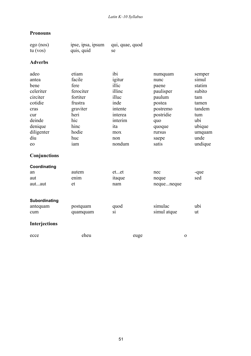#### **Pronouns**

| ego (nos)  | ipse, ipsa, ipsum | qui, quae, quod |
|------------|-------------------|-----------------|
| tu $(vos)$ | quis, quid        | se.             |

#### **Adverbs**

| adeo                 | etiam     | ibi     | numquam     | semper  |
|----------------------|-----------|---------|-------------|---------|
| antea                | facile    | igitur  | nunc        | simul   |
| bene                 | fere      | illic   | paene       | statim  |
| celeriter            | ferociter | illinc  | paulisper   | subito  |
| circiter             | fortiter  | illuc   | paulum      | tam     |
| cotidie              | frustra   | inde    | postea      | tamen   |
| cras                 | graviter  | intente | postremo    | tandem  |
| cur                  | heri      | interea | postridie   | tum     |
| deinde               | hic       | interim | quo         | ubi     |
| denique              | hinc      | ita     | quoque      | ubique  |
| diligenter           | hodie     | mox     | rursus      | umquam  |
| diu                  | huc       | non     | saepe       | unde    |
| eo                   | 1am       | nondum  | satis       | undique |
| Conjunctions         |           |         |             |         |
| Coordinating         |           |         |             |         |
| an                   | autem     | etet    | nec         | -que    |
| aut                  | enim      | itaque  | neque       | sed     |
| autaut               | et        | nam     | nequeneque  |         |
|                      |           |         |             |         |
| Subordinating        |           |         |             |         |
| antequam             | postquam  | quod    | simulac     | ubi     |
| cum                  | quamquam  | si      | simul atque | ut      |
|                      |           |         |             |         |
| <b>Interjections</b> |           |         |             |         |
|                      |           |         |             |         |

ecce eheu euge o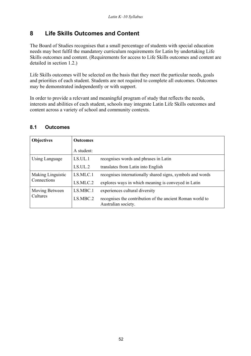## **8 Life Skills Outcomes and Content**

The Board of Studies recognises that a small percentage of students with special education needs may best fulfil the mandatory curriculum requirements for Latin by undertaking Life Skills outcomes and content. (Requirements for access to Life Skills outcomes and content are detailed in section 1.2.)

Life Skills outcomes will be selected on the basis that they meet the particular needs, goals and priorities of each student. Students are not required to complete all outcomes. Outcomes may be demonstrated independently or with support.

In order to provide a relevant and meaningful program of study that reflects the needs, interests and abilities of each student, schools may integrate Latin Life Skills outcomes and content across a variety of school and community contexts.

| <b>Objectives</b> | <b>Outcomes</b> |                                                                                  |
|-------------------|-----------------|----------------------------------------------------------------------------------|
|                   | A student:      |                                                                                  |
| Using Language    | LS.UL.1         | recognises words and phrases in Latin                                            |
|                   | LS.UL.2         | translates from Latin into English                                               |
| Making Linguistic | LS.MLC.1        | recognises internationally shared signs, symbols and words                       |
| Connections       | LS.MLC.2        | explores ways in which meaning is conveyed in Latin                              |
| Moving Between    | LS.MBC.1        | experiences cultural diversity                                                   |
| Cultures          | LS.MBC.2        | recognises the contribution of the ancient Roman world to<br>Australian society. |

#### **8.1 Outcomes**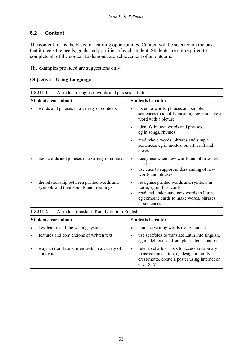## **8.2 Content**

The content forms the basis for learning opportunities. Content will be selected on the basis that it meets the needs, goals and priorities of each student. Students are not required to complete all of the content to demonstrate achievement of an outcome.

The examples provided are suggestions only.

| <b>Objective – Using Language</b> |  |  |
|-----------------------------------|--|--|
|-----------------------------------|--|--|

| <b>LS.UL.1</b><br>A student recognises words and phrases in Latin.                                |                                                                                                                                                                                                    |  |  |
|---------------------------------------------------------------------------------------------------|----------------------------------------------------------------------------------------------------------------------------------------------------------------------------------------------------|--|--|
| <b>Students learn about:</b>                                                                      | <b>Students learn to:</b>                                                                                                                                                                          |  |  |
| words and phrases in a variety of contexts                                                        | listen to words, phrases and simple<br>sentences to identify meaning, eg associate a<br>word with a picture                                                                                        |  |  |
|                                                                                                   | identify known words and phrases,<br>$\bullet$<br>eg in songs, rhymes                                                                                                                              |  |  |
|                                                                                                   | read whole words, phrases and simple<br>sentences, eg in mottos, on art, craft and<br>crests                                                                                                       |  |  |
| new words and phrases in a variety of contexts                                                    | recognise when new words and phrases are<br>$\bullet$<br>used<br>use cues to support understanding of new<br>$\bullet$<br>words and phrases                                                        |  |  |
| the relationship between printed words and<br>$\bullet$<br>symbols and their sounds and meanings. | recognise printed words and symbols in<br>$\bullet$<br>Latin, eg on flashcards<br>read and understand new words in Latin,<br>$\bullet$<br>eg combine cards to make words, phrases<br>or sentences. |  |  |
| LS.UL.2<br>A student translates from Latin into English.                                          |                                                                                                                                                                                                    |  |  |
| <b>Students learn about:</b>                                                                      | <b>Students learn to:</b>                                                                                                                                                                          |  |  |
| key features of the writing system<br>$\bullet$                                                   | practise writing words using models                                                                                                                                                                |  |  |
| features and conventions of written text<br>$\bullet$                                             | use scaffolds to translate Latin into English,<br>eg model texts and sample sentence patterns                                                                                                      |  |  |
| ways to translate written texts in a variety of<br>$\bullet$<br>contexts.                         | refer to charts or lists to access vocabulary<br>$\bullet$<br>to assist translation, eg design a family<br>crest/motto, create a poster using internet or<br>CD-ROM.                               |  |  |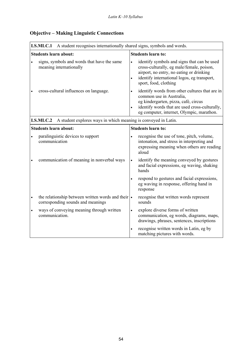## **Objective – Making Linguistic Connections**

| <b>LS.MLC.1</b> A student recognises internationally shared signs, symbols and words.   |                                                                                                                                                                                                                           |  |
|-----------------------------------------------------------------------------------------|---------------------------------------------------------------------------------------------------------------------------------------------------------------------------------------------------------------------------|--|
| <b>Students learn about:</b>                                                            | <b>Students learn to:</b>                                                                                                                                                                                                 |  |
| signs, symbols and words that have the same<br>meaning internationally                  | identify symbols and signs that can be used<br>$\bullet$<br>cross-culturally, eg male/female, poison,<br>airport, no entry, no eating or drinking<br>identify international logos, eg transport,<br>sport, food, clothing |  |
| cross-cultural influences on language.                                                  | identify words from other cultures that are in<br>common use in Australia,<br>eg kindergarten, pizza, café, circus<br>identify words that are used cross-culturally,<br>eg computer, internet, Olympic, marathon.         |  |
| A student explores ways in which meaning is conveyed in Latin.<br>LS.MLC.2              |                                                                                                                                                                                                                           |  |
| <b>Students learn about:</b>                                                            | <b>Students learn to:</b>                                                                                                                                                                                                 |  |
| paralinguistic devices to support<br>communication                                      | recognise the use of tone, pitch, volume,<br>intonation, and stress in interpreting and<br>expressing meaning when others are reading<br>aloud                                                                            |  |
| communication of meaning in nonverbal ways                                              | identify the meaning conveyed by gestures<br>and facial expressions, eg waving, shaking<br>hands                                                                                                                          |  |
|                                                                                         | respond to gestures and facial expressions,<br>eg waving in response, offering hand in<br>response                                                                                                                        |  |
| the relationship between written words and their .<br>corresponding sounds and meanings | recognise that written words represent<br>sounds                                                                                                                                                                          |  |
| ways of conveying meaning through written<br>communication.                             | explore diverse forms of written<br>$\bullet$<br>communication, eg words, diagrams, maps,<br>drawings, phrases, sentences, inscriptions                                                                                   |  |
|                                                                                         | recognise written words in Latin, eg by<br>matching pictures with words.                                                                                                                                                  |  |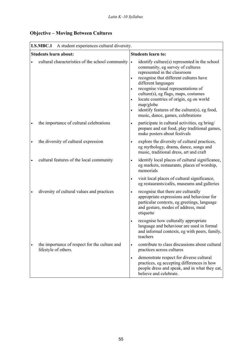## **Objective – Moving Between Cultures**

| LS.MBC.1<br>A student experiences cultural diversity.                 |                                                                                                                                                                                                                                                                                                                                                                                                                                                        |  |  |
|-----------------------------------------------------------------------|--------------------------------------------------------------------------------------------------------------------------------------------------------------------------------------------------------------------------------------------------------------------------------------------------------------------------------------------------------------------------------------------------------------------------------------------------------|--|--|
| <b>Students learn about:</b>                                          | <b>Students learn to:</b>                                                                                                                                                                                                                                                                                                                                                                                                                              |  |  |
| cultural characteristics of the school community                      | identify culture(s) represented in the school<br>$\bullet$<br>community, eg survey of cultures<br>represented in the classroom<br>recognise that different cultures have<br>$\bullet$<br>different languages<br>recognise visual representations of<br>culture(s), eg flags, maps, costumes<br>locate countries of origin, eg on world<br>map/globe<br>identify features of the culture(s), eg food,<br>$\bullet$<br>music, dance, games, celebrations |  |  |
| the importance of cultural celebrations                               | participate in cultural activities, eg bring/<br>$\bullet$<br>prepare and eat food, play traditional games,<br>make posters about festivals                                                                                                                                                                                                                                                                                                            |  |  |
| the diversity of cultural expression                                  | explore the diversity of cultural practices,<br>$\bullet$<br>eg mythology, drama, dance, songs and<br>music, traditional dress, art and craft                                                                                                                                                                                                                                                                                                          |  |  |
| cultural features of the local community                              | identify local places of cultural significance,<br>$\bullet$<br>eg markets, restaurants, places of worship,<br>memorials                                                                                                                                                                                                                                                                                                                               |  |  |
|                                                                       | visit local places of cultural significance,<br>$\bullet$<br>eg restaurants/cafés, museums and galleries                                                                                                                                                                                                                                                                                                                                               |  |  |
| diversity of cultural values and practices                            | recognise that there are culturally<br>$\bullet$<br>appropriate expressions and behaviour for<br>particular contexts, eg greetings, language<br>and gesture, modes of address, meal<br>etiquette                                                                                                                                                                                                                                                       |  |  |
|                                                                       | recognise how culturally appropriate<br>language and behaviour are used in formal<br>and informal contexts, eg with peers, family,<br>teachers                                                                                                                                                                                                                                                                                                         |  |  |
| the importance of respect for the culture and<br>lifestyle of others. | contribute to class discussions about cultural<br>$\bullet$<br>practices across cultures                                                                                                                                                                                                                                                                                                                                                               |  |  |
|                                                                       | demonstrate respect for diverse cultural<br>$\bullet$<br>practices, eg accepting differences in how<br>people dress and speak, and in what they eat,<br>believe and celebrate.                                                                                                                                                                                                                                                                         |  |  |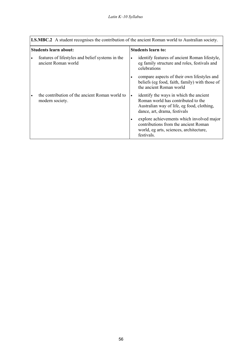|                              | <b>LS.MBC.2</b> A student recognises the contribution of the ancient Roman world to Australian society. |                           |                                                                                                                                                            |
|------------------------------|---------------------------------------------------------------------------------------------------------|---------------------------|------------------------------------------------------------------------------------------------------------------------------------------------------------|
| <b>Students learn about:</b> |                                                                                                         | <b>Students learn to:</b> |                                                                                                                                                            |
|                              | features of lifestyles and belief systems in the<br>ancient Roman world                                 | $\bullet$                 | identify features of ancient Roman lifestyle,<br>eg family structure and roles, festivals and<br>celebrations                                              |
|                              |                                                                                                         |                           | compare aspects of their own lifestyles and<br>beliefs (eg food, faith, family) with those of<br>the ancient Roman world                                   |
|                              | the contribution of the ancient Roman world to<br>modern society.                                       | $\bullet$                 | identify the ways in which the ancient<br>Roman world has contributed to the<br>Australian way of life, eg food, clothing,<br>dance, art, drama, festivals |
|                              |                                                                                                         | $\bullet$                 | explore achievements which involved major<br>contributions from the ancient Roman<br>world, eg arts, sciences, architecture,<br>festivals.                 |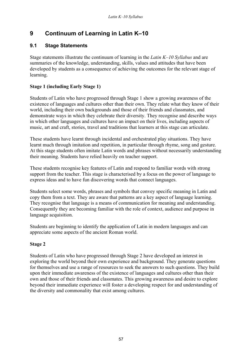## **9 Continuum of Learning in Latin K–10**

## **9.1 Stage Statements**

Stage statements illustrate the continuum of learning in the *Latin K–10 Syllabus* and are summaries of the knowledge, understanding, skills, values and attitudes that have been developed by students as a consequence of achieving the outcomes for the relevant stage of learning.

### **Stage 1 (including Early Stage 1)**

Students of Latin who have progressed through Stage 1 show a growing awareness of the existence of languages and cultures other than their own. They relate what they know of their world, including their own backgrounds and those of their friends and classmates, and demonstrate ways in which they celebrate their diversity. They recognise and describe ways in which other languages and cultures have an impact on their lives, including aspects of music, art and craft, stories, travel and traditions that learners at this stage can articulate.

These students have learnt through incidental and orchestrated play situations. They have learnt much through imitation and repetition, in particular through rhyme, song and gesture. At this stage students often imitate Latin words and phrases without necessarily understanding their meaning. Students have relied heavily on teacher support.

These students recognise key features of Latin and respond to familiar words with strong support from the teacher. This stage is characterised by a focus on the power of language to express ideas and to have fun discovering words that connect languages.

Students select some words, phrases and symbols that convey specific meaning in Latin and copy them from a text. They are aware that patterns are a key aspect of language learning. They recognise that language is a means of communication for meaning and understanding. Consequently they are becoming familiar with the role of context, audience and purpose in language acquisition.

Students are beginning to identify the application of Latin in modern languages and can appreciate some aspects of the ancient Roman world.

### **Stage 2**

Students of Latin who have progressed through Stage 2 have developed an interest in exploring the world beyond their own experience and background. They generate questions for themselves and use a range of resources to seek the answers to such questions. They build upon their immediate awareness of the existence of languages and cultures other than their own and those of their friends and classmates. This growing awareness and desire to explore beyond their immediate experience will foster a developing respect for and understanding of the diversity and commonality that exist among cultures.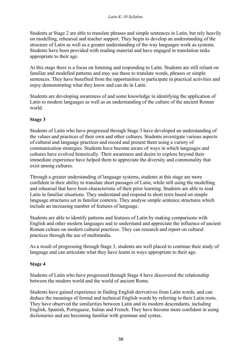Students at Stage 2 are able to translate phrases and simple sentences in Latin, but rely heavily on modelling, rehearsal and teacher support. They begin to develop an understanding of the structure of Latin as well as a greater understanding of the way languages work as systems. Students have been provided with reading material and have engaged in translation tasks appropriate to their age.

At this stage there is a focus on listening and responding to Latin. Students are still reliant on familiar and modelled patterns and may use these to translate words, phrases or simple sentences. They have benefited from the opportunities to participate in practical activities and enjoy demonstrating what they know and can do in Latin.

Students are developing awareness of and some knowledge in identifying the application of Latin to modern languages as well as an understanding of the culture of the ancient Roman world.

#### **Stage 3**

Students of Latin who have progressed through Stage 3 have developed an understanding of the values and practices of their own and other cultures. Students investigate various aspects of cultural and language practices and record and present them using a variety of communication strategies. Students have become aware of ways in which languages and cultures have evolved historically. Their awareness and desire to explore beyond their immediate experience have helped them to appreciate the diversity and commonality that exist among cultures.

Through a greater understanding of language systems, students at this stage are more confident in their ability to translate short passages of Latin, while still using the modelling and rehearsal that have been characteristic of their prior learning. Students are able to read Latin in familiar situations. They understand and respond to short texts based on simple language structures set in familiar contexts. They analyse simple sentence structures which include an increasing number of features of language.

Students are able to identify patterns and features of Latin by making comparisons with English and other modern languages and to understand and appreciate the influence of ancient Roman culture on modern cultural practices. They can research and report on cultural practices through the use of multimedia.

As a result of progressing through Stage 3, students are well placed to continue their study of language and can articulate what they have learnt in ways appropriate to their age.

#### **Stage 4**

Students of Latin who have progressed through Stage 4 have discovered the relationship between the modern world and the world of ancient Rome.

Students have gained experience in finding English derivatives from Latin words, and can deduce the meanings of formal and technical English words by referring to their Latin roots. They have observed the similarities between Latin and its modern descendants, including English, Spanish, Portuguese, Italian and French. They have become more confident in using dictionaries and are becoming familiar with grammar and syntax.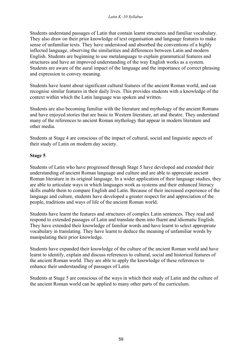Students understand passages of Latin that contain learnt structures and familiar vocabulary. They also draw on their prior knowledge of text organisation and language features to make sense of unfamiliar texts. They have understood and absorbed the conventions of a highly inflected language, observing the similarities and differences between Latin and modern English. Students are beginning to use metalanguage to explain grammatical features and structures and have an improved understanding of the way English works as a system. Students are aware of the aural impact of the language and the importance of correct phrasing and expression to convey meaning.

Students have learnt about significant cultural features of the ancient Roman world, and can recognise similar features in their daily lives. This provides students with a knowledge of the context within which the Latin language was spoken and written.

Students are also becoming familiar with the literature and mythology of the ancient Romans and have enjoyed stories that are basic to Western literature, art and theatre. They understand many of the references to ancient Roman mythology that appear in modern literature and other media.

Students at Stage 4 are conscious of the impact of cultural, social and linguistic aspects of their study of Latin on modern day society.

#### **Stage 5**

Students of Latin who have progressed through Stage 5 have developed and extended their understanding of ancient Roman language and culture and are able to appreciate ancient Roman literature in its original language. In a wider application of their language studies, they are able to articulate ways in which languages work as systems and their enhanced literacy skills enable them to compare English and Latin. Because of their increased experience of the language and culture, students have developed a greater respect for and appreciation of the people, traditions and ways of life of the ancient Roman world.

Students have learnt the features and structures of complex Latin sentences. They read and respond to extended passages of Latin and translate them into fluent and idiomatic English. They have extended their knowledge of familiar words and have learnt to select appropriate vocabulary in translating. They have learnt to deduce the meaning of unfamiliar words by manipulating their prior knowledge.

Students have expanded their knowledge of the culture of the ancient Roman world and have learnt to identify, explain and discuss references to cultural, social and historical features of the ancient Roman world. They are able to apply the knowledge of these references to enhance their understanding of passages of Latin.

Students at Stage 5 are conscious of the ways in which their study of Latin and the culture of the ancient Roman world can be applied to many other parts of the curriculum.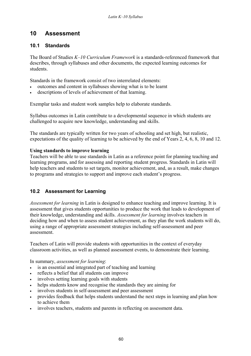## **10 Assessment**

### **10.1 Standards**

The Board of Studies *K–10 Curriculum Framework* is a standards-referenced framework that describes, through syllabuses and other documents, the expected learning outcomes for students.

Standards in the framework consist of two interrelated elements:

- outcomes and content in syllabuses showing what is to be learnt
- descriptions of levels of achievement of that learning.

Exemplar tasks and student work samples help to elaborate standards.

Syllabus outcomes in Latin contribute to a developmental sequence in which students are challenged to acquire new knowledge, understanding and skills.

The standards are typically written for two years of schooling and set high, but realistic, expectations of the quality of learning to be achieved by the end of Years 2, 4, 6, 8, 10 and 12.

### **Using standards to improve learning**

Teachers will be able to use standards in Latin as a reference point for planning teaching and learning programs, and for assessing and reporting student progress. Standards in Latin will help teachers and students to set targets, monitor achievement, and, as a result, make changes to programs and strategies to support and improve each student's progress.

## **10.2 Assessment for Learning**

*Assessment for learning* in Latin is designed to enhance teaching and improve learning. It is assessment that gives students opportunities to produce the work that leads to development of their knowledge, understanding and skills. *Assessment for learning* involves teachers in deciding how and when to assess student achievement, as they plan the work students will do, using a range of appropriate assessment strategies including self-assessment and peer assessment.

Teachers of Latin will provide students with opportunities in the context of everyday classroom activities, as well as planned assessment events, to demonstrate their learning.

In summary, *assessment for learning*:

- is an essential and integrated part of teaching and learning
- reflects a belief that all students can improve
- involves setting learning goals with students
- helps students know and recognise the standards they are aiming for
- involves students in self-assessment and peer assessment
- provides feedback that helps students understand the next steps in learning and plan how to achieve them
- involves teachers, students and parents in reflecting on assessment data.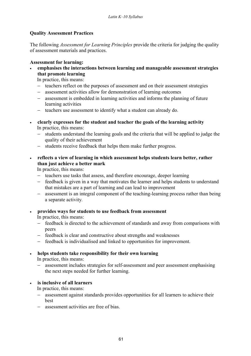### **Quality Assessment Practices**

The following *Assessment for Learning Principles* provide the criteria for judging the quality of assessment materials and practices.

#### **Assessment for learning:**

• **emphasises the interactions between learning and manageable assessment strategies that promote learning** 

In practice, this means:

- − teachers reflect on the purposes of assessment and on their assessment strategies
- − assessment activities allow for demonstration of learning outcomes
- − assessment is embedded in learning activities and informs the planning of future learning activities
- − teachers use assessment to identify what a student can already do.
- **clearly expresses for the student and teacher the goals of the learning activity** In practice, this means:
	- − students understand the learning goals and the criteria that will be applied to judge the quality of their achievement
	- − students receive feedback that helps them make further progress.
- **reflects a view of learning in which assessment helps students learn better, rather than just achieve a better mark**

In practice, this means:

- − teachers use tasks that assess, and therefore encourage, deeper learning
- − feedback is given in a way that motivates the learner and helps students to understand that mistakes are a part of learning and can lead to improvement
- − assessment is an integral component of the teaching-learning process rather than being a separate activity*.*
- **provides ways for students to use feedback from assessment**

In practice, this means:

- − feedback is directed to the achievement of standards and away from comparisons with peers
- − feedback is clear and constructive about strengths and weaknesses
- − feedback is individualised and linked to opportunities for improvement.
- **helps students take responsibility for their own learning**

In practice, this means:

assessment includes strategies for self-assessment and peer assessment emphasising the next steps needed for further learning.

### • **is inclusive of all learners**

In practice, this means:

- − assessment against standards provides opportunities for all learners to achieve their best
- − assessment activities are free of bias.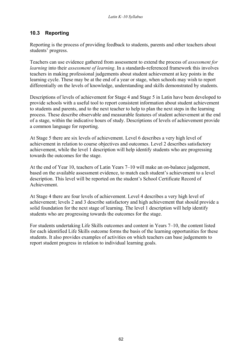### **10.3 Reporting**

Reporting is the process of providing feedback to students, parents and other teachers about students' progress.

Teachers can use evidence gathered from assessment to extend the process of *assessment for learning* into their *assessment of learning*. In a standards-referenced framework this involves teachers in making professional judgements about student achievement at key points in the learning cycle. These may be at the end of a year or stage, when schools may wish to report differentially on the levels of knowledge, understanding and skills demonstrated by students.

Descriptions of levels of achievement for Stage 4 and Stage 5 in Latin have been developed to provide schools with a useful tool to report consistent information about student achievement to students and parents, and to the next teacher to help to plan the next steps in the learning process. These describe observable and measurable features of student achievement at the end of a stage, within the indicative hours of study. Descriptions of levels of achievement provide a common language for reporting.

At Stage 5 there are six levels of achievement. Level 6 describes a very high level of achievement in relation to course objectives and outcomes. Level 2 describes satisfactory achievement, while the level 1 description will help identify students who are progressing towards the outcomes for the stage.

At the end of Year 10, teachers of Latin Years 7–10 will make an on-balance judgement, based on the available assessment evidence, to match each student's achievement to a level description. This level will be reported on the student's School Certificate Record of Achievement.

At Stage 4 there are four levels of achievement. Level 4 describes a very high level of achievement; levels 2 and 3 describe satisfactory and high achievement that should provide a solid foundation for the next stage of learning. The level 1 description will help identify students who are progressing towards the outcomes for the stage.

For students undertaking Life Skills outcomes and content in Years 7–10, the content listed for each identified Life Skills outcome forms the basis of the learning opportunities for these students. It also provides examples of activities on which teachers can base judgements to report student progress in relation to individual learning goals.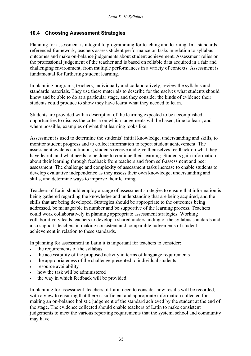### **10.4 Choosing Assessment Strategies**

Planning for assessment is integral to programming for teaching and learning. In a standardsreferenced framework, teachers assess student performance on tasks in relation to syllabus outcomes and make on-balance judgements about student achievement. Assessment relies on the professional judgement of the teacher and is based on reliable data acquired in a fair and challenging environment, from multiple performances in a variety of contexts. Assessment is fundamental for furthering student learning.

In planning programs, teachers, individually and collaboratively, review the syllabus and standards materials. They use these materials to describe for themselves what students should know and be able to do at a particular stage, and they consider the kinds of evidence their students could produce to show they have learnt what they needed to learn.

Students are provided with a description of the learning expected to be accomplished, opportunities to discuss the criteria on which judgements will be based, time to learn, and where possible, examples of what that learning looks like.

Assessment is used to determine the students' initial knowledge, understanding and skills, to monitor student progress and to collect information to report student achievement. The assessment cycle is continuous; students receive and give themselves feedback on what they have learnt, and what needs to be done to continue their learning. Students gain information about their learning through feedback from teachers and from self-assessment and peer assessment. The challenge and complexity of assessment tasks increase to enable students to develop evaluative independence as they assess their own knowledge, understanding and skills, and determine ways to improve their learning.

Teachers of Latin should employ a range of assessment strategies to ensure that information is being gathered regarding the knowledge and understanding that are being acquired, and the skills that are being developed. Strategies should be appropriate to the outcomes being addressed, be manageable in number and be supportive of the learning process. Teachers could work collaboratively in planning appropriate assessment strategies. Working collaboratively leads teachers to develop a shared understanding of the syllabus standards and also supports teachers in making consistent and comparable judgements of student achievement in relation to these standards.

In planning for assessment in Latin it is important for teachers to consider:

- the requirements of the syllabus
- the accessibility of the proposed activity in terms of language requirements
- the appropriateness of the challenge presented to individual students
- resource availability
- how the task will be administered
- the way in which feedback will be provided.

In planning for assessment, teachers of Latin need to consider how results will be recorded, with a view to ensuring that there is sufficient and appropriate information collected for making an on-balance holistic judgement of the standard achieved by the student at the end of the stage. The evidence collected should enable teachers of Latin to make consistent judgements to meet the various reporting requirements that the system, school and community may have.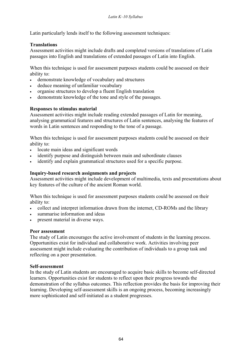Latin particularly lends itself to the following assessment techniques:

#### **Translations**

Assessment activities might include drafts and completed versions of translations of Latin passages into English and translations of extended passages of Latin into English.

When this technique is used for assessment purposes students could be assessed on their ability to:

- demonstrate knowledge of vocabulary and structures
- deduce meaning of unfamiliar vocabulary
- organise structures to develop a fluent English translation
- demonstrate knowledge of the tone and style of the passages.

#### **Responses to stimulus material**

Assessment activities might include reading extended passages of Latin for meaning, analysing grammatical features and structures of Latin sentences, analysing the features of words in Latin sentences and responding to the tone of a passage.

When this technique is used for assessment purposes students could be assessed on their ability to:

- locate main ideas and significant words
- identify purpose and distinguish between main and subordinate clauses
- identify and explain grammatical structures used for a specific purpose.

#### **Inquiry-based research assignments and projects**

Assessment activities might include development of multimedia, texts and presentations about key features of the culture of the ancient Roman world.

When this technique is used for assessment purposes students could be assessed on their ability to:

- collect and interpret information drawn from the internet, CD-ROMs and the library
- summarise information and ideas
- present material in diverse ways.

#### **Peer assessment**

The study of Latin encourages the active involvement of students in the learning process. Opportunities exist for individual and collaborative work. Activities involving peer assessment might include evaluating the contribution of individuals to a group task and reflecting on a peer presentation.

#### **Self-assessment**

In the study of Latin students are encouraged to acquire basic skills to become self-directed learners. Opportunities exist for students to reflect upon their progress towards the demonstration of the syllabus outcomes. This reflection provides the basis for improving their learning. Developing self-assessment skills is an ongoing process, becoming increasingly more sophisticated and self-initiated as a student progresses.